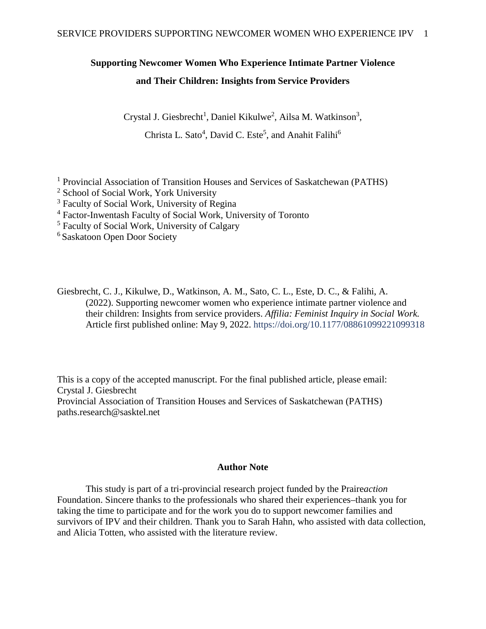## **Supporting Newcomer Women Who Experience Intimate Partner Violence and Their Children: Insights from Service Providers**

Crystal J. Giesbrecht<sup>1</sup>, Daniel Kikulwe<sup>2</sup>, Ailsa M. Watkinson<sup>3</sup>,

Christa L. Sato<sup>4</sup>, David C. Este<sup>5</sup>, and Anahit Falihi<sup>6</sup>

<sup>1</sup> Provincial Association of Transition Houses and Services of Saskatchewan (PATHS)

<sup>2</sup> School of Social Work, York University

<sup>3</sup> Faculty of Social Work, University of Regina

<sup>4</sup> Factor-Inwentash Faculty of Social Work, University of Toronto

<sup>5</sup> Faculty of Social Work, University of Calgary

6 Saskatoon Open Door Society

Giesbrecht, C. J., Kikulwe, D., Watkinson, A. M., Sato, C. L., Este, D. C., & Falihi, A. (2022). Supporting newcomer women who experience intimate partner violence and their children: Insights from service providers. *Affilia: Feminist Inquiry in Social Work.* Article first published online: May 9, 2022.<https://doi.org/10.1177/08861099221099318>

This is a copy of the accepted manuscript. For the final published article, please email: Crystal J. Giesbrecht Provincial Association of Transition Houses and Services of Saskatchewan (PATHS) [paths.research@sasktel.net](mailto:paths.research@sasktel.net)

## **Author Note**

This study is part of a tri-provincial research project funded by the Praire*action*  Foundation. Sincere thanks to the professionals who shared their experiences–thank you for taking the time to participate and for the work you do to support newcomer families and survivors of IPV and their children. Thank you to Sarah Hahn, who assisted with data collection, and Alicia Totten, who assisted with the literature review.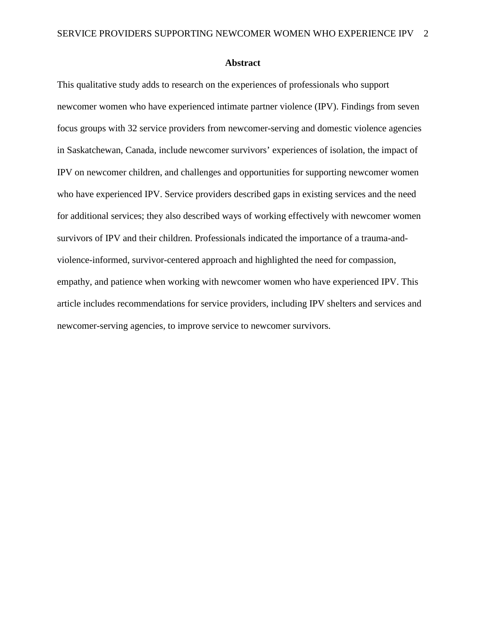#### **Abstract**

This qualitative study adds to research on the experiences of professionals who support newcomer women who have experienced intimate partner violence (IPV). Findings from seven focus groups with 32 service providers from newcomer-serving and domestic violence agencies in Saskatchewan, Canada, include newcomer survivors' experiences of isolation, the impact of IPV on newcomer children, and challenges and opportunities for supporting newcomer women who have experienced IPV. Service providers described gaps in existing services and the need for additional services; they also described ways of working effectively with newcomer women survivors of IPV and their children. Professionals indicated the importance of a trauma-andviolence-informed, survivor-centered approach and highlighted the need for compassion, empathy, and patience when working with newcomer women who have experienced IPV. This article includes recommendations for service providers, including IPV shelters and services and newcomer-serving agencies, to improve service to newcomer survivors.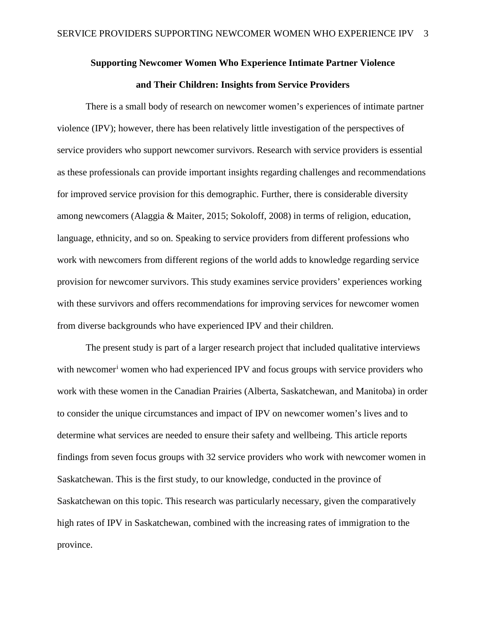# **Supporting Newcomer Women Who Experience Intimate Partner Violence and Their Children: Insights from Service Providers**

There is a small body of research on newcomer women's experiences of intimate partner violence (IPV); however, there has been relatively little investigation of the perspectives of service providers who support newcomer survivors. Research with service providers is essential as these professionals can provide important insights regarding challenges and recommendations for improved service provision for this demographic. Further, there is considerable diversity among newcomers (Alaggia & Maiter, 2015; Sokoloff, 2008) in terms of religion, education, language, ethnicity, and so on. Speaking to service providers from different professions who work with newcomers from different regions of the world adds to knowledge regarding service provision for newcomer survivors. This study examines service providers' experiences working with these survivors and offers recommendations for improving services for newcomer women from diverse backgrounds who have experienced IPV and their children.

The present study is part of a larger research project that included qualitative interviews w[i](#page-43-0)th newcomer<sup>i</sup> women who had experienced IPV and focus groups with service providers who work with these women in the Canadian Prairies (Alberta, Saskatchewan, and Manitoba) in order to consider the unique circumstances and impact of IPV on newcomer women's lives and to determine what services are needed to ensure their safety and wellbeing. This article reports findings from seven focus groups with 32 service providers who work with newcomer women in Saskatchewan. This is the first study, to our knowledge, conducted in the province of Saskatchewan on this topic. This research was particularly necessary, given the comparatively high rates of IPV in Saskatchewan, combined with the increasing rates of immigration to the province.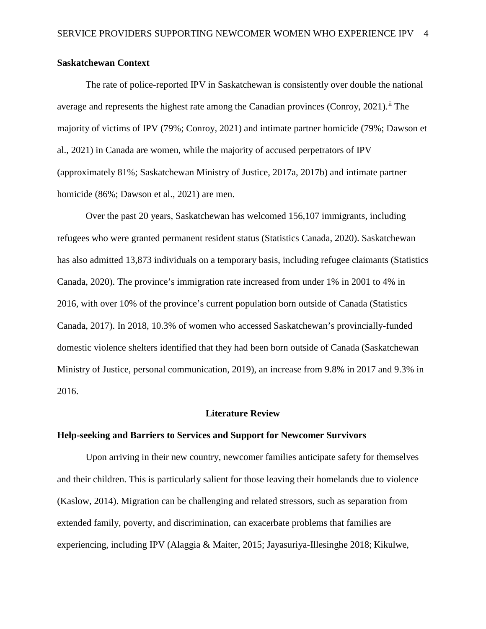## **Saskatchewan Context**

The rate of police-reported IPV in Saskatchewan is consistently over double the national average and represents the highest rate among the Canadian provinces (Conroy, 2021).<sup>[ii](#page-43-1)</sup> The majority of victims of IPV (79%; Conroy, 2021) and intimate partner homicide (79%; Dawson et al., 2021) in Canada are women, while the majority of accused perpetrators of IPV (approximately 81%; Saskatchewan Ministry of Justice, 2017a, 2017b) and intimate partner homicide (86%; Dawson et al., 2021) are men.

Over the past 20 years, Saskatchewan has welcomed 156,107 immigrants, including refugees who were granted permanent resident status (Statistics Canada, 2020). Saskatchewan has also admitted 13,873 individuals on a temporary basis, including refugee claimants (Statistics Canada, 2020). The province's immigration rate increased from under 1% in 2001 to 4% in 2016, with over 10% of the province's current population born outside of Canada (Statistics Canada, 2017). In 2018, 10.3% of women who accessed Saskatchewan's provincially-funded domestic violence shelters identified that they had been born outside of Canada (Saskatchewan Ministry of Justice, personal communication, 2019), an increase from 9.8% in 2017 and 9.3% in 2016.

#### **Literature Review**

#### **Help-seeking and Barriers to Services and Support for Newcomer Survivors**

Upon arriving in their new country, newcomer families anticipate safety for themselves and their children. This is particularly salient for those leaving their homelands due to violence (Kaslow, 2014). Migration can be challenging and related stressors, such as separation from extended family, poverty, and discrimination, can exacerbate problems that families are experiencing, including IPV (Alaggia & Maiter, 2015; Jayasuriya-Illesinghe 2018; Kikulwe,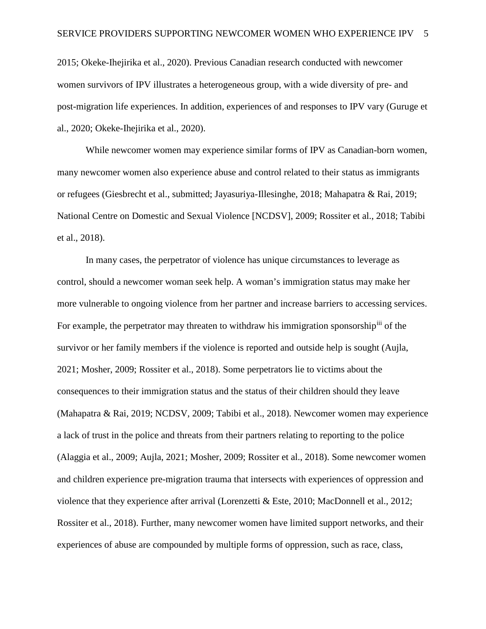2015; Okeke-Ihejirika et al., 2020). Previous Canadian research conducted with newcomer women survivors of IPV illustrates a heterogeneous group, with a wide diversity of pre- and post-migration life experiences. In addition, experiences of and responses to IPV vary (Guruge et al., 2020; Okeke-Ihejirika et al., 2020).

While newcomer women may experience similar forms of IPV as Canadian-born women, many newcomer women also experience abuse and control related to their status as immigrants or refugees (Giesbrecht et al., submitted; Jayasuriya-Illesinghe, 2018; Mahapatra & Rai, 2019; National Centre on Domestic and Sexual Violence [NCDSV], 2009; Rossiter et al., 2018; Tabibi et al., 2018).

In many cases, the perpetrator of violence has unique circumstances to leverage as control, should a newcomer woman seek help. A woman's immigration status may make her more vulnerable to ongoing violence from her partner and increase barriers to accessing services. For example, the perpetrator may threaten to withdraw his immigration sponsorship<sup>[iii](#page-43-2)</sup> of the survivor or her family members if the violence is reported and outside help is sought (Aujla, 2021; Mosher, 2009; Rossiter et al., 2018). Some perpetrators lie to victims about the consequences to their immigration status and the status of their children should they leave (Mahapatra & Rai, 2019; NCDSV, 2009; Tabibi et al., 2018). Newcomer women may experience a lack of trust in the police and threats from their partners relating to reporting to the police (Alaggia et al., 2009; Aujla, 2021; Mosher, 2009; Rossiter et al., 2018). Some newcomer women and children experience pre-migration trauma that intersects with experiences of oppression and violence that they experience after arrival (Lorenzetti & Este, 2010; MacDonnell et al., 2012; Rossiter et al., 2018). Further, many newcomer women have limited support networks, and their experiences of abuse are compounded by multiple forms of oppression, such as race, class,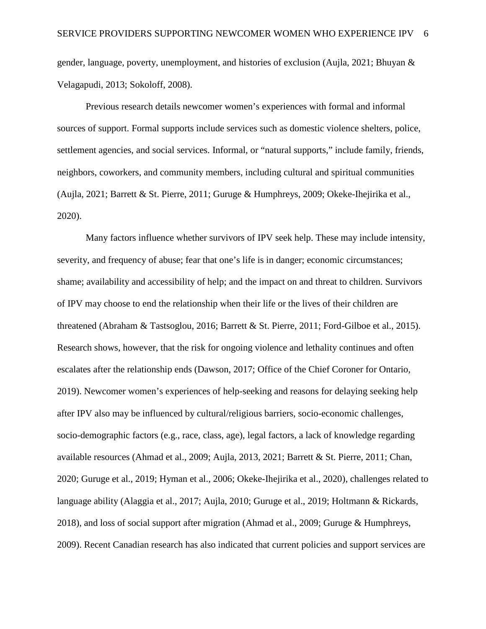gender, language, poverty, unemployment, and histories of exclusion (Aujla, 2021; Bhuyan & Velagapudi, 2013; Sokoloff, 2008).

Previous research details newcomer women's experiences with formal and informal sources of support. Formal supports include services such as domestic violence shelters, police, settlement agencies, and social services. Informal, or "natural supports," include family, friends, neighbors, coworkers, and community members, including cultural and spiritual communities (Aujla, 2021; Barrett & St. Pierre, 2011; Guruge & Humphreys, 2009; Okeke-Ihejirika et al., 2020).

Many factors influence whether survivors of IPV seek help. These may include intensity, severity, and frequency of abuse; fear that one's life is in danger; economic circumstances; shame; availability and accessibility of help; and the impact on and threat to children. Survivors of IPV may choose to end the relationship when their life or the lives of their children are threatened (Abraham & Tastsoglou, 2016; Barrett & St. Pierre, 2011; Ford-Gilboe et al., 2015). Research shows, however, that the risk for ongoing violence and lethality continues and often escalates after the relationship ends (Dawson, 2017; Office of the Chief Coroner for Ontario, 2019). Newcomer women's experiences of help-seeking and reasons for delaying seeking help after IPV also may be influenced by cultural/religious barriers, socio-economic challenges, socio-demographic factors (e.g., race, class, age), legal factors, a lack of knowledge regarding available resources (Ahmad et al., 2009; Aujla, 2013, 2021; Barrett & St. Pierre, 2011; Chan, 2020; Guruge et al., 2019; Hyman et al., 2006; Okeke-Ihejirika et al., 2020), challenges related to language ability (Alaggia et al., 2017; Aujla, 2010; Guruge et al., 2019; Holtmann & Rickards, 2018), and loss of social support after migration (Ahmad et al., 2009; Guruge & Humphreys, 2009). Recent Canadian research has also indicated that current policies and support services are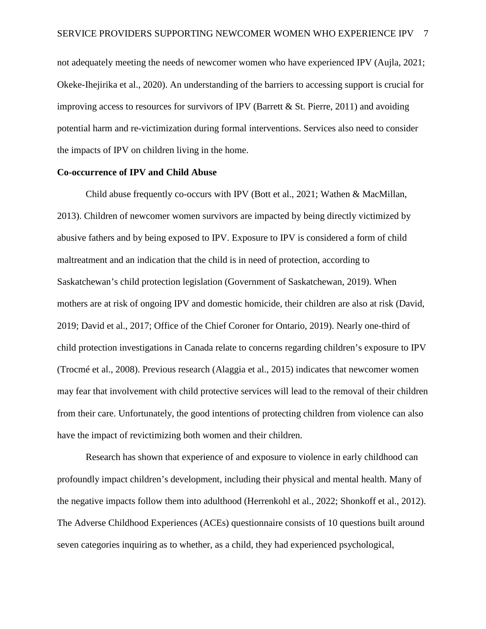not adequately meeting the needs of newcomer women who have experienced IPV (Aujla, 2021; Okeke-Ihejirika et al., 2020). An understanding of the barriers to accessing support is crucial for improving access to resources for survivors of IPV (Barrett  $\&$  St. Pierre, 2011) and avoiding potential harm and re-victimization during formal interventions. Services also need to consider the impacts of IPV on children living in the home.

#### **Co-occurrence of IPV and Child Abuse**

Child abuse frequently co-occurs with IPV (Bott et al., 2021; Wathen & MacMillan, 2013). Children of newcomer women survivors are impacted by being directly victimized by abusive fathers and by being exposed to IPV. Exposure to IPV is considered a form of child maltreatment and an indication that the child is in need of protection, according to Saskatchewan's child protection legislation (Government of Saskatchewan, 2019). When mothers are at risk of ongoing IPV and domestic homicide, their children are also at risk (David, 2019; David et al., 2017; Office of the Chief Coroner for Ontario, 2019). Nearly one-third of child protection investigations in Canada relate to concerns regarding children's exposure to IPV (Trocmé et al., 2008). Previous research (Alaggia et al., 2015) indicates that newcomer women may fear that involvement with child protective services will lead to the removal of their children from their care. Unfortunately, the good intentions of protecting children from violence can also have the impact of revictimizing both women and their children.

Research has shown that experience of and exposure to violence in early childhood can profoundly impact children's development, including their physical and mental health. Many of the negative impacts follow them into adulthood (Herrenkohl et al., 2022; Shonkoff et al., 2012). The Adverse Childhood Experiences (ACEs) questionnaire consists of 10 questions built around seven categories inquiring as to whether, as a child, they had experienced psychological,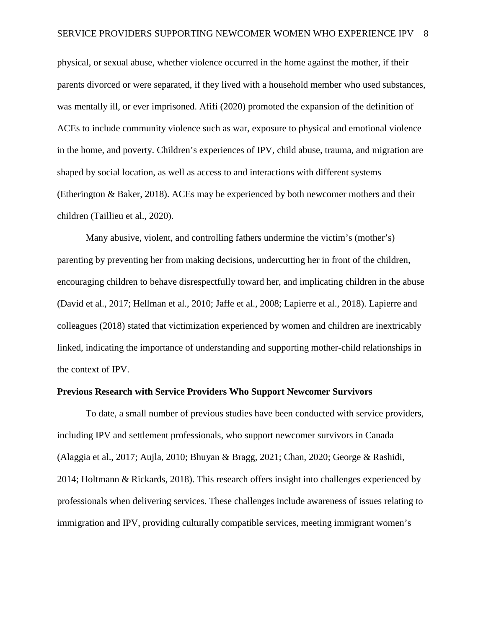physical, or sexual abuse, whether violence occurred in the home against the mother, if their parents divorced or were separated, if they lived with a household member who used substances, was mentally ill, or ever imprisoned. Afifi (2020) promoted the expansion of the definition of ACEs to include community violence such as war, exposure to physical and emotional violence in the home, and poverty. Children's experiences of IPV, child abuse, trauma, and migration are shaped by social location, as well as access to and interactions with different systems (Etherington & Baker, 2018). ACEs may be experienced by both newcomer mothers and their children (Taillieu et al., 2020).

Many abusive, violent, and controlling fathers undermine the victim's (mother's) parenting by preventing her from making decisions, undercutting her in front of the children, encouraging children to behave disrespectfully toward her, and implicating children in the abuse (David et al., 2017; Hellman et al., 2010; Jaffe et al., 2008; Lapierre et al., 2018). Lapierre and colleagues (2018) stated that victimization experienced by women and children are inextricably linked, indicating the importance of understanding and supporting mother-child relationships in the context of IPV.

### **Previous Research with Service Providers Who Support Newcomer Survivors**

To date, a small number of previous studies have been conducted with service providers, including IPV and settlement professionals, who support newcomer survivors in Canada (Alaggia et al., 2017; Aujla, 2010; Bhuyan & Bragg, 2021; Chan, 2020; George & Rashidi, 2014; Holtmann & Rickards, 2018). This research offers insight into challenges experienced by professionals when delivering services. These challenges include awareness of issues relating to immigration and IPV, providing culturally compatible services, meeting immigrant women's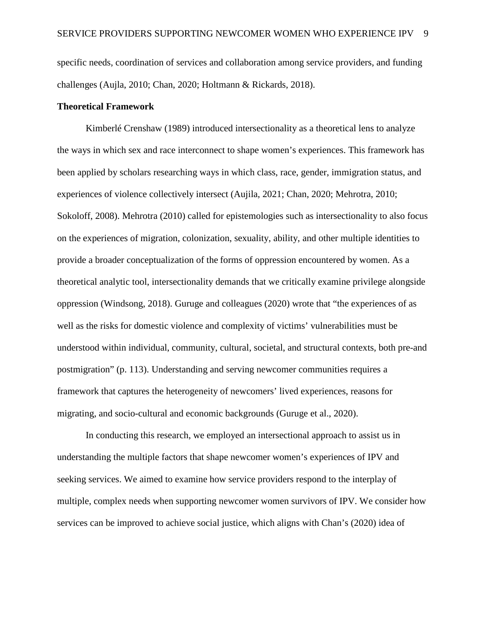specific needs, coordination of services and collaboration among service providers, and funding challenges (Aujla, 2010; Chan, 2020; Holtmann & Rickards, 2018).

## **Theoretical Framework**

Kimberlé Crenshaw (1989) introduced intersectionality as a theoretical lens to analyze the ways in which sex and race interconnect to shape women's experiences. This framework has been applied by scholars researching ways in which class, race, gender, immigration status, and experiences of violence collectively intersect (Aujila, 2021; Chan, 2020; Mehrotra, 2010; Sokoloff, 2008). Mehrotra (2010) called for epistemologies such as intersectionality to also focus on the experiences of migration, colonization, sexuality, ability, and other multiple identities to provide a broader conceptualization of the forms of oppression encountered by women. As a theoretical analytic tool, intersectionality demands that we critically examine privilege alongside oppression (Windsong, 2018). Guruge and colleagues (2020) wrote that "the experiences of as well as the risks for domestic violence and complexity of victims' vulnerabilities must be understood within individual, community, cultural, societal, and structural contexts, both pre-and postmigration" (p. 113). Understanding and serving newcomer communities requires a framework that captures the heterogeneity of newcomers' lived experiences, reasons for migrating, and socio-cultural and economic backgrounds (Guruge et al., 2020).

In conducting this research, we employed an intersectional approach to assist us in understanding the multiple factors that shape newcomer women's experiences of IPV and seeking services. We aimed to examine how service providers respond to the interplay of multiple, complex needs when supporting newcomer women survivors of IPV. We consider how services can be improved to achieve social justice, which aligns with Chan's (2020) idea of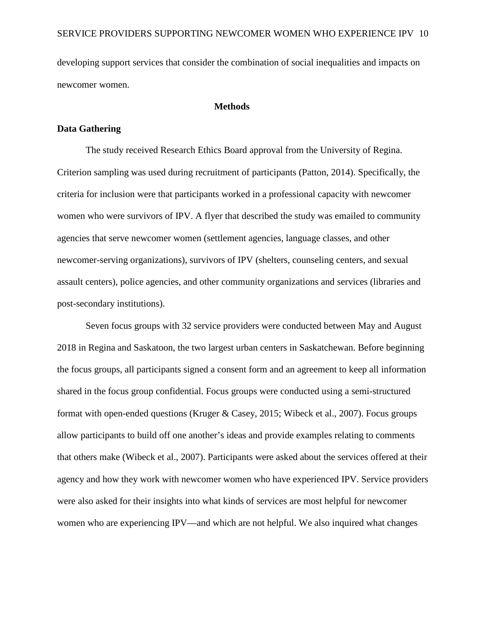developing support services that consider the combination of social inequalities and impacts on newcomer women.

## **Methods**

#### **Data Gathering**

The study received Research Ethics Board approval from the University of Regina. Criterion sampling was used during recruitment of participants (Patton, 2014). Specifically, the criteria for inclusion were that participants worked in a professional capacity with newcomer women who were survivors of IPV. A flyer that described the study was emailed to community agencies that serve newcomer women (settlement agencies, language classes, and other newcomer-serving organizations), survivors of IPV (shelters, counseling centers, and sexual assault centers), police agencies, and other community organizations and services (libraries and post-secondary institutions).

Seven focus groups with 32 service providers were conducted between May and August 2018 in Regina and Saskatoon, the two largest urban centers in Saskatchewan. Before beginning the focus groups, all participants signed a consent form and an agreement to keep all information shared in the focus group confidential. Focus groups were conducted using a semi-structured format with open-ended questions (Kruger & Casey, 2015; Wibeck et al., 2007). Focus groups allow participants to build off one another's ideas and provide examples relating to comments that others make (Wibeck et al., 2007). Participants were asked about the services offered at their agency and how they work with newcomer women who have experienced IPV. Service providers were also asked for their insights into what kinds of services are most helpful for newcomer women who are experiencing IPV—and which are not helpful. We also inquired what changes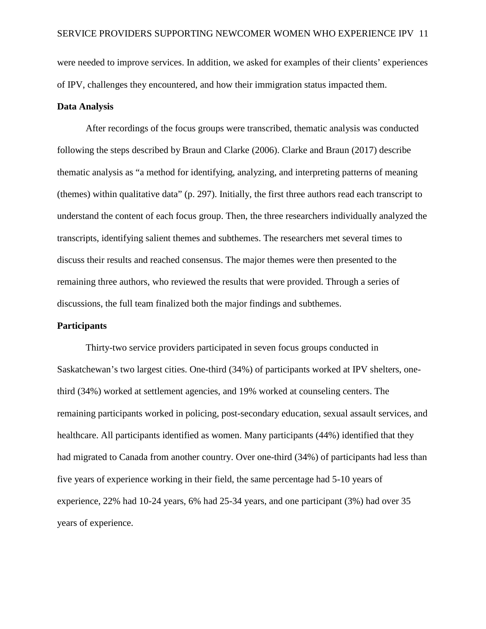were needed to improve services. In addition, we asked for examples of their clients' experiences of IPV, challenges they encountered, and how their immigration status impacted them.

#### **Data Analysis**

After recordings of the focus groups were transcribed, thematic analysis was conducted following the steps described by Braun and Clarke (2006). Clarke and Braun (2017) describe thematic analysis as "a method for identifying, analyzing, and interpreting patterns of meaning (themes) within qualitative data" (p. 297). Initially, the first three authors read each transcript to understand the content of each focus group. Then, the three researchers individually analyzed the transcripts, identifying salient themes and subthemes. The researchers met several times to discuss their results and reached consensus. The major themes were then presented to the remaining three authors, who reviewed the results that were provided. Through a series of discussions, the full team finalized both the major findings and subthemes.

#### **Participants**

Thirty-two service providers participated in seven focus groups conducted in Saskatchewan's two largest cities. One-third (34%) of participants worked at IPV shelters, onethird (34%) worked at settlement agencies, and 19% worked at counseling centers. The remaining participants worked in policing, post-secondary education, sexual assault services, and healthcare. All participants identified as women. Many participants (44%) identified that they had migrated to Canada from another country. Over one-third (34%) of participants had less than five years of experience working in their field, the same percentage had 5-10 years of experience, 22% had 10-24 years, 6% had 25-34 years, and one participant (3%) had over 35 years of experience.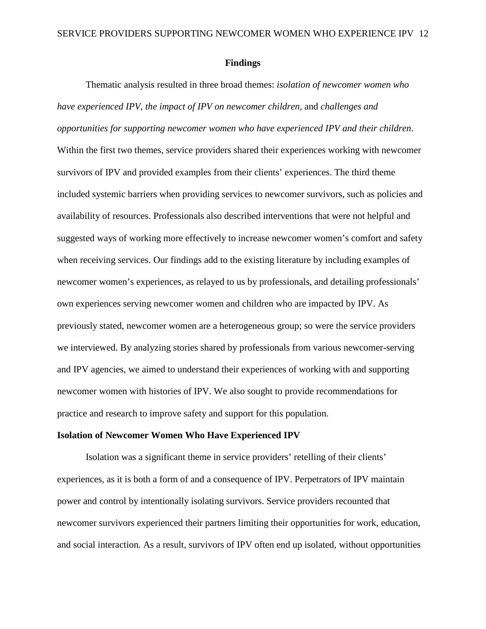#### **Findings**

Thematic analysis resulted in three broad themes: *isolation of newcomer women who have experienced IPV*, *the impact of IPV on newcomer children,* and *challenges and opportunities for supporting newcomer women who have experienced IPV and their children*. Within the first two themes, service providers shared their experiences working with newcomer survivors of IPV and provided examples from their clients' experiences. The third theme included systemic barriers when providing services to newcomer survivors, such as policies and availability of resources. Professionals also described interventions that were not helpful and suggested ways of working more effectively to increase newcomer women's comfort and safety when receiving services. Our findings add to the existing literature by including examples of newcomer women's experiences, as relayed to us by professionals, and detailing professionals' own experiences serving newcomer women and children who are impacted by IPV. As previously stated, newcomer women are a heterogeneous group; so were the service providers we interviewed. By analyzing stories shared by professionals from various newcomer-serving and IPV agencies, we aimed to understand their experiences of working with and supporting newcomer women with histories of IPV. We also sought to provide recommendations for practice and research to improve safety and support for this population.

#### **Isolation of Newcomer Women Who Have Experienced IPV**

Isolation was a significant theme in service providers' retelling of their clients' experiences, as it is both a form of and a consequence of IPV. Perpetrators of IPV maintain power and control by intentionally isolating survivors. Service providers recounted that newcomer survivors experienced their partners limiting their opportunities for work, education, and social interaction. As a result, survivors of IPV often end up isolated, without opportunities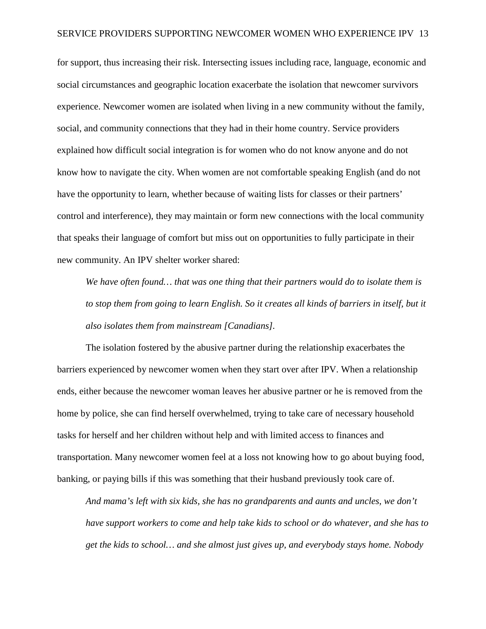for support, thus increasing their risk. Intersecting issues including race, language, economic and social circumstances and geographic location exacerbate the isolation that newcomer survivors experience. Newcomer women are isolated when living in a new community without the family, social, and community connections that they had in their home country. Service providers explained how difficult social integration is for women who do not know anyone and do not know how to navigate the city. When women are not comfortable speaking English (and do not have the opportunity to learn, whether because of waiting lists for classes or their partners' control and interference), they may maintain or form new connections with the local community that speaks their language of comfort but miss out on opportunities to fully participate in their new community. An IPV shelter worker shared:

*We have often found… that was one thing that their partners would do to isolate them is*  to stop them from going to learn English. So it creates all kinds of barriers in itself, but it *also isolates them from mainstream [Canadians].*

The isolation fostered by the abusive partner during the relationship exacerbates the barriers experienced by newcomer women when they start over after IPV. When a relationship ends, either because the newcomer woman leaves her abusive partner or he is removed from the home by police, she can find herself overwhelmed, trying to take care of necessary household tasks for herself and her children without help and with limited access to finances and transportation. Many newcomer women feel at a loss not knowing how to go about buying food, banking, or paying bills if this was something that their husband previously took care of.

*And mama's left with six kids, she has no grandparents and aunts and uncles, we don't have support workers to come and help take kids to school or do whatever, and she has to get the kids to school… and she almost just gives up, and everybody stays home. Nobody*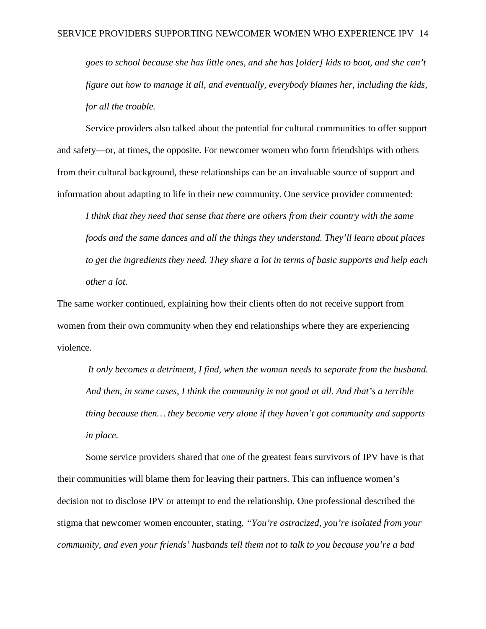*goes to school because she has little ones, and she has [older] kids to boot, and she can't figure out how to manage it all, and eventually, everybody blames her, including the kids, for all the trouble.*

Service providers also talked about the potential for cultural communities to offer support and safety—or, at times, the opposite. For newcomer women who form friendships with others from their cultural background, these relationships can be an invaluable source of support and information about adapting to life in their new community. One service provider commented:

*I think that they need that sense that there are others from their country with the same foods and the same dances and all the things they understand. They'll learn about places to get the ingredients they need. They share a lot in terms of basic supports and help each other a lot.*

The same worker continued, explaining how their clients often do not receive support from women from their own community when they end relationships where they are experiencing violence.

*It only becomes a detriment, I find, when the woman needs to separate from the husband. And then, in some cases, I think the community is not good at all. And that's a terrible thing because then… they become very alone if they haven't got community and supports in place.*

Some service providers shared that one of the greatest fears survivors of IPV have is that their communities will blame them for leaving their partners. This can influence women's decision not to disclose IPV or attempt to end the relationship. One professional described the stigma that newcomer women encounter, stating, *"You're ostracized, you're isolated from your community, and even your friends' husbands tell them not to talk to you because you're a bad*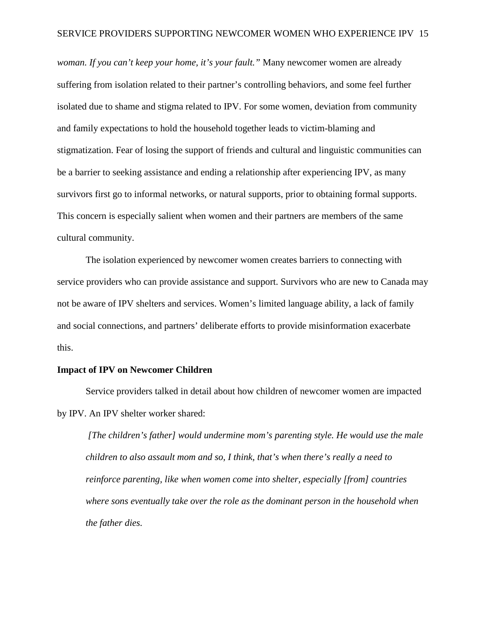*woman. If you can't keep your home, it's your fault."* Many newcomer women are already suffering from isolation related to their partner's controlling behaviors, and some feel further isolated due to shame and stigma related to IPV. For some women, deviation from community and family expectations to hold the household together leads to victim-blaming and stigmatization. Fear of losing the support of friends and cultural and linguistic communities can be a barrier to seeking assistance and ending a relationship after experiencing IPV, as many survivors first go to informal networks, or natural supports, prior to obtaining formal supports. This concern is especially salient when women and their partners are members of the same cultural community.

The isolation experienced by newcomer women creates barriers to connecting with service providers who can provide assistance and support. Survivors who are new to Canada may not be aware of IPV shelters and services. Women's limited language ability, a lack of family and social connections, and partners' deliberate efforts to provide misinformation exacerbate this.

#### **Impact of IPV on Newcomer Children**

Service providers talked in detail about how children of newcomer women are impacted by IPV. An IPV shelter worker shared:

*[The children's father] would undermine mom's parenting style. He would use the male children to also assault mom and so, I think, that's when there's really a need to reinforce parenting, like when women come into shelter, especially [from] countries where sons eventually take over the role as the dominant person in the household when the father dies.*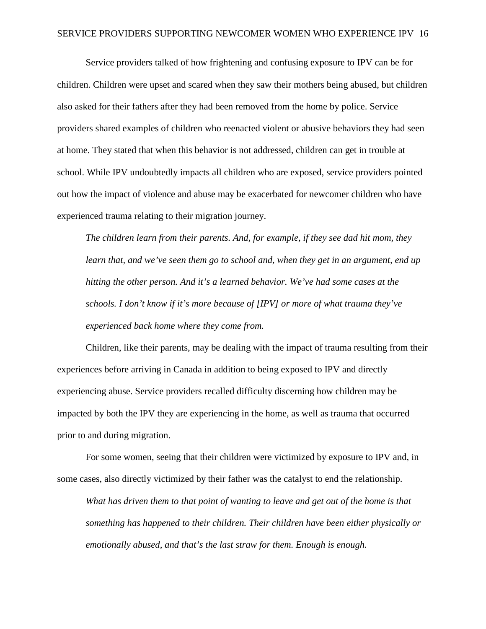Service providers talked of how frightening and confusing exposure to IPV can be for children. Children were upset and scared when they saw their mothers being abused, but children also asked for their fathers after they had been removed from the home by police. Service providers shared examples of children who reenacted violent or abusive behaviors they had seen at home. They stated that when this behavior is not addressed, children can get in trouble at school. While IPV undoubtedly impacts all children who are exposed, service providers pointed out how the impact of violence and abuse may be exacerbated for newcomer children who have experienced trauma relating to their migration journey.

*The children learn from their parents. And, for example, if they see dad hit mom, they learn that, and we've seen them go to school and, when they get in an argument, end up hitting the other person. And it's a learned behavior. We've had some cases at the schools. I don't know if it's more because of [IPV] or more of what trauma they've experienced back home where they come from.* 

Children, like their parents, may be dealing with the impact of trauma resulting from their experiences before arriving in Canada in addition to being exposed to IPV and directly experiencing abuse. Service providers recalled difficulty discerning how children may be impacted by both the IPV they are experiencing in the home, as well as trauma that occurred prior to and during migration.

For some women, seeing that their children were victimized by exposure to IPV and, in some cases, also directly victimized by their father was the catalyst to end the relationship.

*What has driven them to that point of wanting to leave and get out of the home is that something has happened to their children. Their children have been either physically or emotionally abused, and that's the last straw for them. Enough is enough.*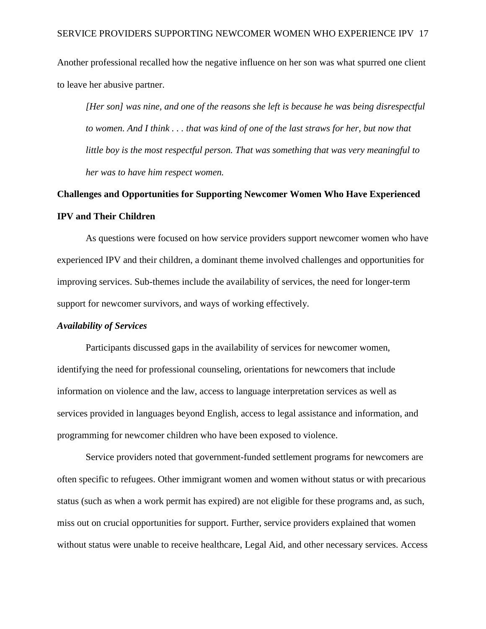Another professional recalled how the negative influence on her son was what spurred one client to leave her abusive partner.

*[Her son] was nine, and one of the reasons she left is because he was being disrespectful to women. And I think . . . that was kind of one of the last straws for her, but now that little boy is the most respectful person. That was something that was very meaningful to her was to have him respect women.* 

## **Challenges and Opportunities for Supporting Newcomer Women Who Have Experienced IPV and Their Children**

As questions were focused on how service providers support newcomer women who have experienced IPV and their children, a dominant theme involved challenges and opportunities for improving services. Sub-themes include the availability of services, the need for longer-term support for newcomer survivors, and ways of working effectively.

#### *Availability of Services*

Participants discussed gaps in the availability of services for newcomer women, identifying the need for professional counseling, orientations for newcomers that include information on violence and the law, access to language interpretation services as well as services provided in languages beyond English, access to legal assistance and information, and programming for newcomer children who have been exposed to violence.

Service providers noted that government-funded settlement programs for newcomers are often specific to refugees. Other immigrant women and women without status or with precarious status (such as when a work permit has expired) are not eligible for these programs and, as such, miss out on crucial opportunities for support. Further, service providers explained that women without status were unable to receive healthcare, Legal Aid, and other necessary services. Access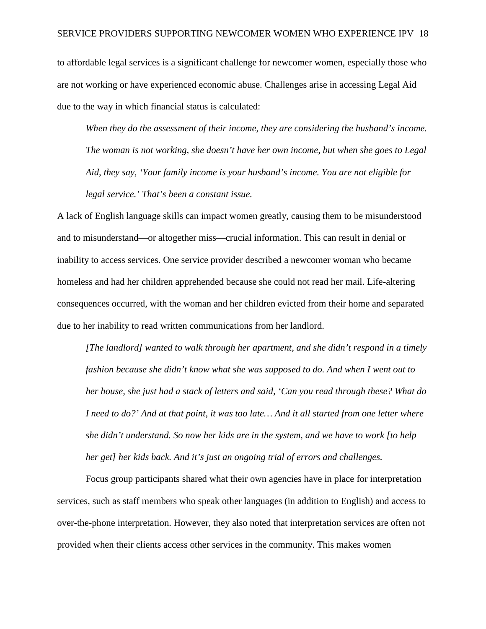to affordable legal services is a significant challenge for newcomer women, especially those who are not working or have experienced economic abuse. Challenges arise in accessing Legal Aid due to the way in which financial status is calculated:

*When they do the assessment of their income, they are considering the husband's income. The woman is not working, she doesn't have her own income, but when she goes to Legal Aid, they say, 'Your family income is your husband's income. You are not eligible for legal service.' That's been a constant issue.*

A lack of English language skills can impact women greatly, causing them to be misunderstood and to misunderstand—or altogether miss—crucial information. This can result in denial or inability to access services. One service provider described a newcomer woman who became homeless and had her children apprehended because she could not read her mail. Life-altering consequences occurred, with the woman and her children evicted from their home and separated due to her inability to read written communications from her landlord.

*[The landlord] wanted to walk through her apartment, and she didn't respond in a timely fashion because she didn't know what she was supposed to do. And when I went out to her house, she just had a stack of letters and said, 'Can you read through these? What do I need to do?' And at that point, it was too late… And it all started from one letter where she didn't understand. So now her kids are in the system, and we have to work [to help her get] her kids back. And it's just an ongoing trial of errors and challenges.*

Focus group participants shared what their own agencies have in place for interpretation services, such as staff members who speak other languages (in addition to English) and access to over-the-phone interpretation. However, they also noted that interpretation services are often not provided when their clients access other services in the community. This makes women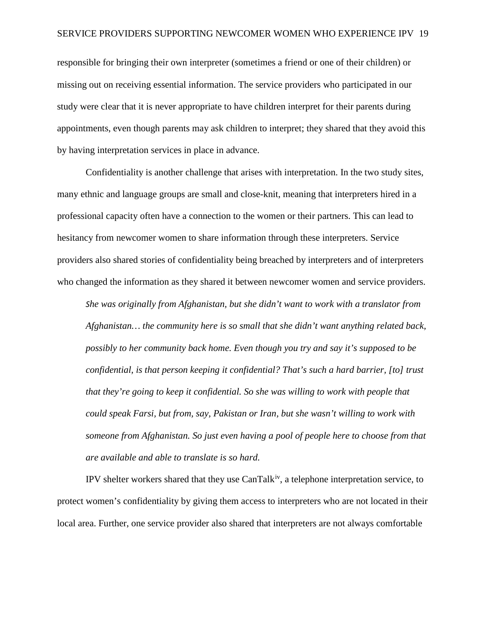responsible for bringing their own interpreter (sometimes a friend or one of their children) or missing out on receiving essential information. The service providers who participated in our study were clear that it is never appropriate to have children interpret for their parents during appointments, even though parents may ask children to interpret; they shared that they avoid this by having interpretation services in place in advance.

Confidentiality is another challenge that arises with interpretation. In the two study sites, many ethnic and language groups are small and close-knit, meaning that interpreters hired in a professional capacity often have a connection to the women or their partners. This can lead to hesitancy from newcomer women to share information through these interpreters. Service providers also shared stories of confidentiality being breached by interpreters and of interpreters who changed the information as they shared it between newcomer women and service providers.

*She was originally from Afghanistan, but she didn't want to work with a translator from Afghanistan… the community here is so small that she didn't want anything related back, possibly to her community back home. Even though you try and say it's supposed to be confidential, is that person keeping it confidential? That's such a hard barrier, [to] trust that they're going to keep it confidential. So she was willing to work with people that could speak Farsi, but from, say, Pakistan or Iran, but she wasn't willing to work with someone from Afghanistan. So just even having a pool of people here to choose from that are available and able to translate is so hard.* 

IPV shelter workers shared that they use CanTalk[iv,](#page-43-3) a telephone interpretation service, to protect women's confidentiality by giving them access to interpreters who are not located in their local area. Further, one service provider also shared that interpreters are not always comfortable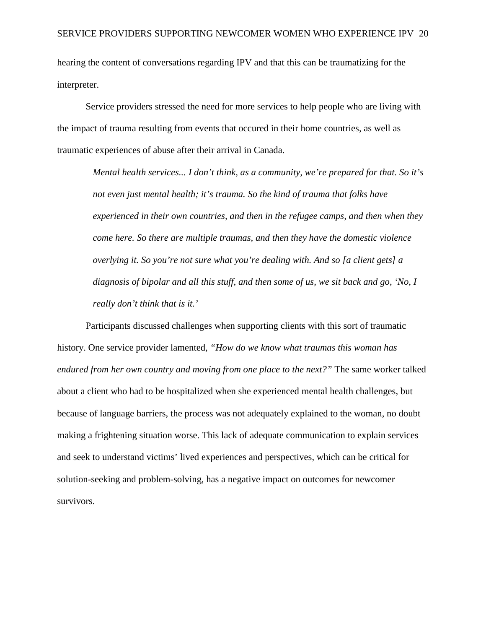hearing the content of conversations regarding IPV and that this can be traumatizing for the interpreter.

Service providers stressed the need for more services to help people who are living with the impact of trauma resulting from events that occured in their home countries, as well as traumatic experiences of abuse after their arrival in Canada.

*Mental health services... I don't think, as a community, we're prepared for that. So it's not even just mental health; it's trauma. So the kind of trauma that folks have experienced in their own countries, and then in the refugee camps, and then when they come here. So there are multiple traumas, and then they have the domestic violence overlying it. So you're not sure what you're dealing with. And so [a client gets] a diagnosis of bipolar and all this stuff, and then some of us, we sit back and go, 'No, I really don't think that is it.'*

Participants discussed challenges when supporting clients with this sort of traumatic history. One service provider lamented, *"How do we know what traumas this woman has endured from her own country and moving from one place to the next?"* The same worker talked about a client who had to be hospitalized when she experienced mental health challenges, but because of language barriers, the process was not adequately explained to the woman, no doubt making a frightening situation worse. This lack of adequate communication to explain services and seek to understand victims' lived experiences and perspectives, which can be critical for solution-seeking and problem-solving, has a negative impact on outcomes for newcomer survivors.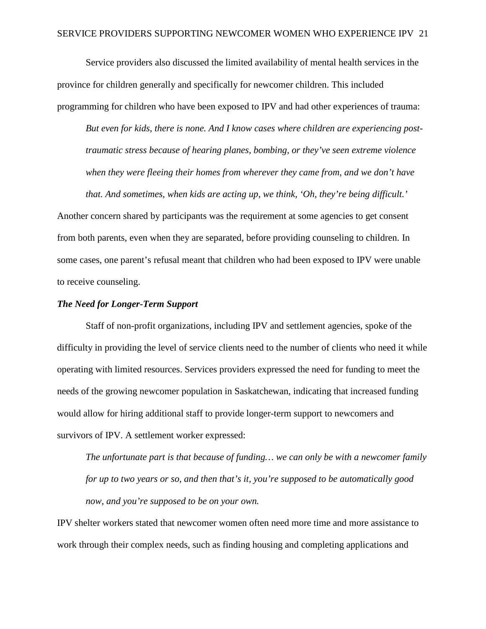Service providers also discussed the limited availability of mental health services in the province for children generally and specifically for newcomer children. This included programming for children who have been exposed to IPV and had other experiences of trauma:

*But even for kids, there is none. And I know cases where children are experiencing posttraumatic stress because of hearing planes, bombing, or they've seen extreme violence when they were fleeing their homes from wherever they came from, and we don't have* 

*that. And sometimes, when kids are acting up, we think, 'Oh, they're being difficult.'*

Another concern shared by participants was the requirement at some agencies to get consent from both parents, even when they are separated, before providing counseling to children. In some cases, one parent's refusal meant that children who had been exposed to IPV were unable to receive counseling.

#### *The Need for Longer-Term Support*

Staff of non-profit organizations, including IPV and settlement agencies, spoke of the difficulty in providing the level of service clients need to the number of clients who need it while operating with limited resources. Services providers expressed the need for funding to meet the needs of the growing newcomer population in Saskatchewan, indicating that increased funding would allow for hiring additional staff to provide longer-term support to newcomers and survivors of IPV. A settlement worker expressed:

*The unfortunate part is that because of funding… we can only be with a newcomer family for up to two years or so, and then that's it, you're supposed to be automatically good now, and you're supposed to be on your own.*

IPV shelter workers stated that newcomer women often need more time and more assistance to work through their complex needs, such as finding housing and completing applications and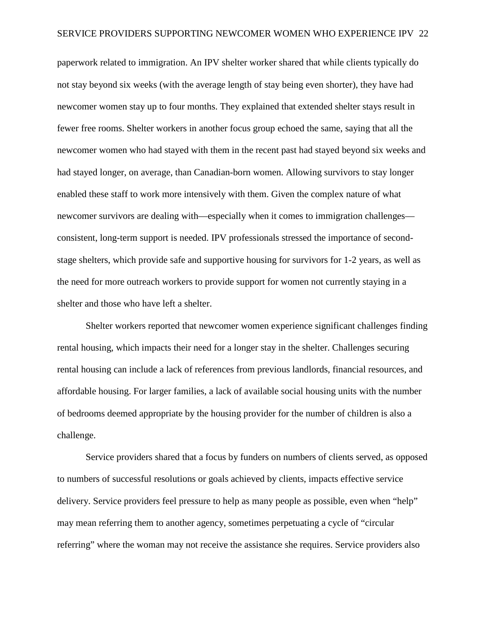paperwork related to immigration. An IPV shelter worker shared that while clients typically do not stay beyond six weeks (with the average length of stay being even shorter), they have had newcomer women stay up to four months. They explained that extended shelter stays result in fewer free rooms. Shelter workers in another focus group echoed the same, saying that all the newcomer women who had stayed with them in the recent past had stayed beyond six weeks and had stayed longer, on average, than Canadian-born women. Allowing survivors to stay longer enabled these staff to work more intensively with them. Given the complex nature of what newcomer survivors are dealing with—especially when it comes to immigration challenges consistent, long-term support is needed. IPV professionals stressed the importance of secondstage shelters, which provide safe and supportive housing for survivors for 1-2 years, as well as the need for more outreach workers to provide support for women not currently staying in a shelter and those who have left a shelter.

Shelter workers reported that newcomer women experience significant challenges finding rental housing, which impacts their need for a longer stay in the shelter. Challenges securing rental housing can include a lack of references from previous landlords, financial resources, and affordable housing. For larger families, a lack of available social housing units with the number of bedrooms deemed appropriate by the housing provider for the number of children is also a challenge.

Service providers shared that a focus by funders on numbers of clients served, as opposed to numbers of successful resolutions or goals achieved by clients, impacts effective service delivery. Service providers feel pressure to help as many people as possible, even when "help" may mean referring them to another agency, sometimes perpetuating a cycle of "circular referring" where the woman may not receive the assistance she requires. Service providers also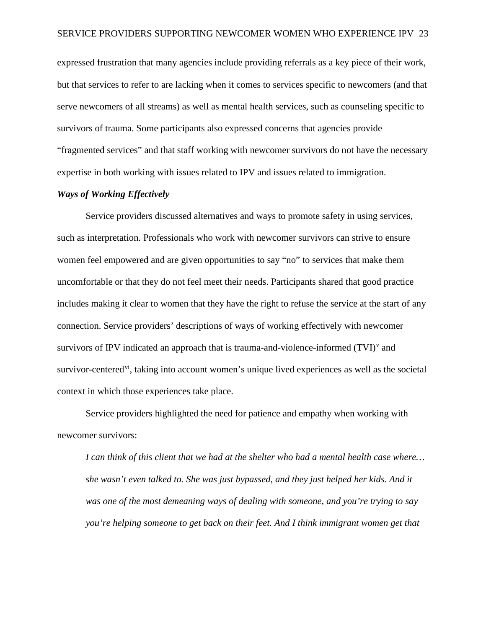expressed frustration that many agencies include providing referrals as a key piece of their work, but that services to refer to are lacking when it comes to services specific to newcomers (and that serve newcomers of all streams) as well as mental health services, such as counseling specific to survivors of trauma. Some participants also expressed concerns that agencies provide "fragmented services" and that staff working with newcomer survivors do not have the necessary expertise in both working with issues related to IPV and issues related to immigration.

## *Ways of Working Effectively*

Service providers discussed alternatives and ways to promote safety in using services, such as interpretation. Professionals who work with newcomer survivors can strive to ensure women feel empowered and are given opportunities to say "no" to services that make them uncomfortable or that they do not feel meet their needs. Participants shared that good practice includes making it clear to women that they have the right to refuse the service at the start of any connection. Service providers' descriptions of ways of working effectively with newcomer sur[v](#page-43-4)ivors of IPV indicated an approach that is trauma-and-violence-informed  $(TVI)^v$  and sur[vi](#page-43-5)vor-centered<sup>vi</sup>, taking into account women's unique lived experiences as well as the societal context in which those experiences take place.

Service providers highlighted the need for patience and empathy when working with newcomer survivors:

*I can think of this client that we had at the shelter who had a mental health case where… she wasn't even talked to. She was just bypassed, and they just helped her kids. And it was one of the most demeaning ways of dealing with someone, and you're trying to say you're helping someone to get back on their feet. And I think immigrant women get that*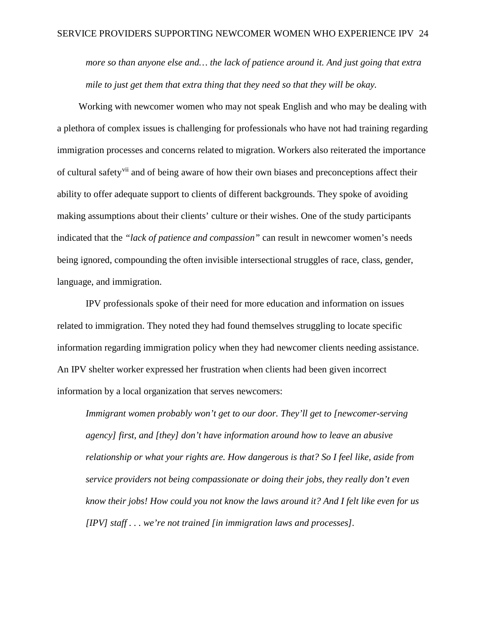*more so than anyone else and… the lack of patience around it. And just going that extra mile to just get them that extra thing that they need so that they will be okay.*

Working with newcomer women who may not speak English and who may be dealing with a plethora of complex issues is challenging for professionals who have not had training regarding immigration processes and concerns related to migration. Workers also reiterated the importance of cultural safety[vii](#page-43-6) and of being aware of how their own biases and preconceptions affect their ability to offer adequate support to clients of different backgrounds. They spoke of avoiding making assumptions about their clients' culture or their wishes. One of the study participants indicated that the *"lack of patience and compassion"* can result in newcomer women's needs being ignored, compounding the often invisible intersectional struggles of race, class, gender, language, and immigration.

IPV professionals spoke of their need for more education and information on issues related to immigration. They noted they had found themselves struggling to locate specific information regarding immigration policy when they had newcomer clients needing assistance. An IPV shelter worker expressed her frustration when clients had been given incorrect information by a local organization that serves newcomers:

*Immigrant women probably won't get to our door. They'll get to [newcomer-serving agency] first, and [they] don't have information around how to leave an abusive relationship or what your rights are. How dangerous is that? So I feel like, aside from service providers not being compassionate or doing their jobs, they really don't even know their jobs! How could you not know the laws around it? And I felt like even for us [IPV] staff . . . we're not trained [in immigration laws and processes].*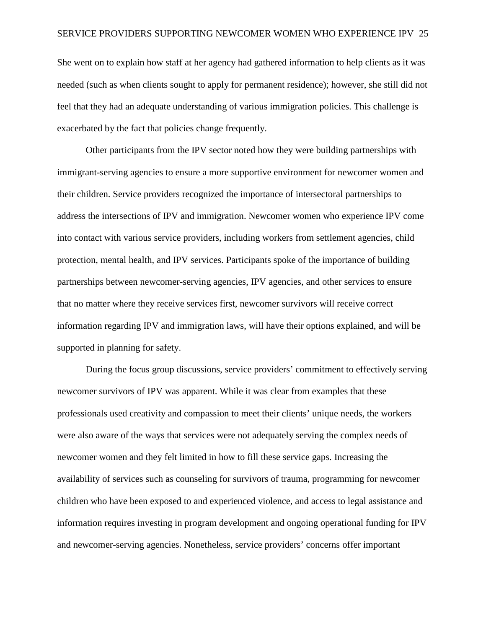She went on to explain how staff at her agency had gathered information to help clients as it was needed (such as when clients sought to apply for permanent residence); however, she still did not feel that they had an adequate understanding of various immigration policies. This challenge is exacerbated by the fact that policies change frequently.

Other participants from the IPV sector noted how they were building partnerships with immigrant-serving agencies to ensure a more supportive environment for newcomer women and their children. Service providers recognized the importance of intersectoral partnerships to address the intersections of IPV and immigration. Newcomer women who experience IPV come into contact with various service providers, including workers from settlement agencies, child protection, mental health, and IPV services. Participants spoke of the importance of building partnerships between newcomer-serving agencies, IPV agencies, and other services to ensure that no matter where they receive services first, newcomer survivors will receive correct information regarding IPV and immigration laws, will have their options explained, and will be supported in planning for safety.

During the focus group discussions, service providers' commitment to effectively serving newcomer survivors of IPV was apparent. While it was clear from examples that these professionals used creativity and compassion to meet their clients' unique needs, the workers were also aware of the ways that services were not adequately serving the complex needs of newcomer women and they felt limited in how to fill these service gaps. Increasing the availability of services such as counseling for survivors of trauma, programming for newcomer children who have been exposed to and experienced violence, and access to legal assistance and information requires investing in program development and ongoing operational funding for IPV and newcomer-serving agencies. Nonetheless, service providers' concerns offer important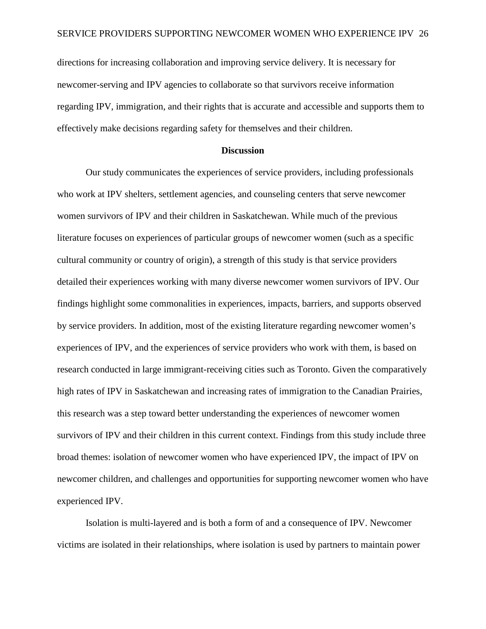directions for increasing collaboration and improving service delivery. It is necessary for newcomer-serving and IPV agencies to collaborate so that survivors receive information regarding IPV, immigration, and their rights that is accurate and accessible and supports them to effectively make decisions regarding safety for themselves and their children.

#### **Discussion**

Our study communicates the experiences of service providers, including professionals who work at IPV shelters, settlement agencies, and counseling centers that serve newcomer women survivors of IPV and their children in Saskatchewan. While much of the previous literature focuses on experiences of particular groups of newcomer women (such as a specific cultural community or country of origin), a strength of this study is that service providers detailed their experiences working with many diverse newcomer women survivors of IPV. Our findings highlight some commonalities in experiences, impacts, barriers, and supports observed by service providers. In addition, most of the existing literature regarding newcomer women's experiences of IPV, and the experiences of service providers who work with them, is based on research conducted in large immigrant-receiving cities such as Toronto. Given the comparatively high rates of IPV in Saskatchewan and increasing rates of immigration to the Canadian Prairies, this research was a step toward better understanding the experiences of newcomer women survivors of IPV and their children in this current context. Findings from this study include three broad themes: isolation of newcomer women who have experienced IPV, the impact of IPV on newcomer children, and challenges and opportunities for supporting newcomer women who have experienced IPV.

Isolation is multi-layered and is both a form of and a consequence of IPV. Newcomer victims are isolated in their relationships, where isolation is used by partners to maintain power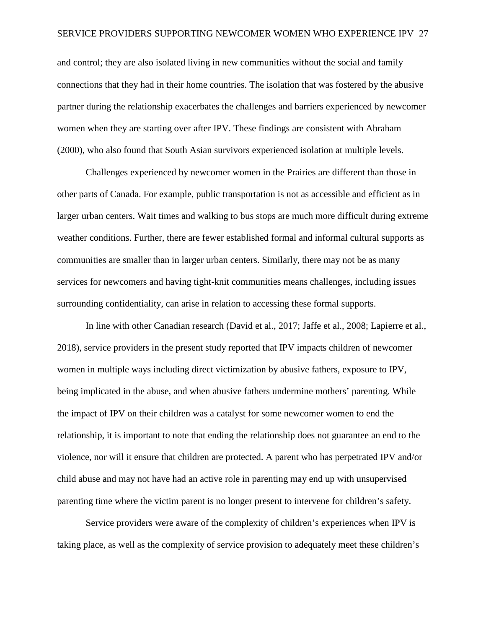and control; they are also isolated living in new communities without the social and family connections that they had in their home countries. The isolation that was fostered by the abusive partner during the relationship exacerbates the challenges and barriers experienced by newcomer women when they are starting over after IPV. These findings are consistent with Abraham (2000), who also found that South Asian survivors experienced isolation at multiple levels.

Challenges experienced by newcomer women in the Prairies are different than those in other parts of Canada. For example, public transportation is not as accessible and efficient as in larger urban centers. Wait times and walking to bus stops are much more difficult during extreme weather conditions. Further, there are fewer established formal and informal cultural supports as communities are smaller than in larger urban centers. Similarly, there may not be as many services for newcomers and having tight-knit communities means challenges, including issues surrounding confidentiality, can arise in relation to accessing these formal supports.

In line with other Canadian research (David et al., 2017; Jaffe et al., 2008; Lapierre et al., 2018), service providers in the present study reported that IPV impacts children of newcomer women in multiple ways including direct victimization by abusive fathers, exposure to IPV, being implicated in the abuse, and when abusive fathers undermine mothers' parenting. While the impact of IPV on their children was a catalyst for some newcomer women to end the relationship, it is important to note that ending the relationship does not guarantee an end to the violence, nor will it ensure that children are protected. A parent who has perpetrated IPV and/or child abuse and may not have had an active role in parenting may end up with unsupervised parenting time where the victim parent is no longer present to intervene for children's safety.

Service providers were aware of the complexity of children's experiences when IPV is taking place, as well as the complexity of service provision to adequately meet these children's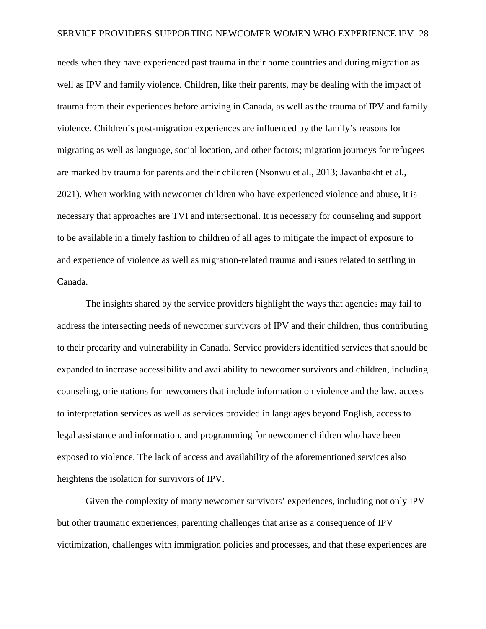needs when they have experienced past trauma in their home countries and during migration as well as IPV and family violence. Children, like their parents, may be dealing with the impact of trauma from their experiences before arriving in Canada, as well as the trauma of IPV and family violence. Children's post-migration experiences are influenced by the family's reasons for migrating as well as language, social location, and other factors; migration journeys for refugees are marked by trauma for parents and their children (Nsonwu et al., 2013; Javanbakht et al., 2021). When working with newcomer children who have experienced violence and abuse, it is necessary that approaches are TVI and intersectional. It is necessary for counseling and support to be available in a timely fashion to children of all ages to mitigate the impact of exposure to and experience of violence as well as migration-related trauma and issues related to settling in Canada.

The insights shared by the service providers highlight the ways that agencies may fail to address the intersecting needs of newcomer survivors of IPV and their children, thus contributing to their precarity and vulnerability in Canada. Service providers identified services that should be expanded to increase accessibility and availability to newcomer survivors and children, including counseling, orientations for newcomers that include information on violence and the law, access to interpretation services as well as services provided in languages beyond English, access to legal assistance and information, and programming for newcomer children who have been exposed to violence. The lack of access and availability of the aforementioned services also heightens the isolation for survivors of IPV.

Given the complexity of many newcomer survivors' experiences, including not only IPV but other traumatic experiences, parenting challenges that arise as a consequence of IPV victimization, challenges with immigration policies and processes, and that these experiences are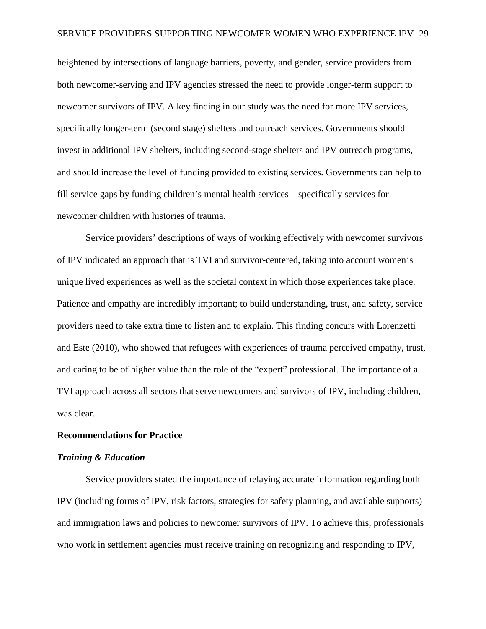heightened by intersections of language barriers, poverty, and gender, service providers from both newcomer-serving and IPV agencies stressed the need to provide longer-term support to newcomer survivors of IPV. A key finding in our study was the need for more IPV services, specifically longer-term (second stage) shelters and outreach services. Governments should invest in additional IPV shelters, including second-stage shelters and IPV outreach programs, and should increase the level of funding provided to existing services. Governments can help to fill service gaps by funding children's mental health services—specifically services for newcomer children with histories of trauma.

Service providers' descriptions of ways of working effectively with newcomer survivors of IPV indicated an approach that is TVI and survivor-centered, taking into account women's unique lived experiences as well as the societal context in which those experiences take place. Patience and empathy are incredibly important; to build understanding, trust, and safety, service providers need to take extra time to listen and to explain. This finding concurs with Lorenzetti and Este (2010), who showed that refugees with experiences of trauma perceived empathy, trust, and caring to be of higher value than the role of the "expert" professional. The importance of a TVI approach across all sectors that serve newcomers and survivors of IPV, including children, was clear.

## **Recommendations for Practice**

#### *Training & Education*

Service providers stated the importance of relaying accurate information regarding both IPV (including forms of IPV, risk factors, strategies for safety planning, and available supports) and immigration laws and policies to newcomer survivors of IPV. To achieve this, professionals who work in settlement agencies must receive training on recognizing and responding to IPV,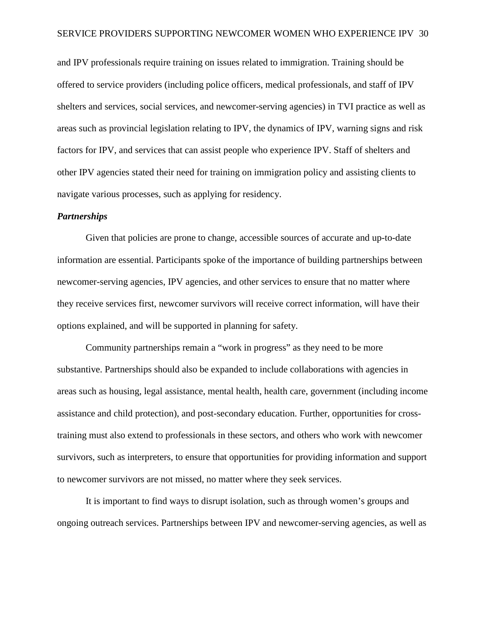and IPV professionals require training on issues related to immigration. Training should be offered to service providers (including police officers, medical professionals, and staff of IPV shelters and services, social services, and newcomer-serving agencies) in TVI practice as well as areas such as provincial legislation relating to IPV, the dynamics of IPV, warning signs and risk factors for IPV, and services that can assist people who experience IPV. Staff of shelters and other IPV agencies stated their need for training on immigration policy and assisting clients to navigate various processes, such as applying for residency.

#### *Partnerships*

Given that policies are prone to change, accessible sources of accurate and up-to-date information are essential. Participants spoke of the importance of building partnerships between newcomer-serving agencies, IPV agencies, and other services to ensure that no matter where they receive services first, newcomer survivors will receive correct information, will have their options explained, and will be supported in planning for safety.

Community partnerships remain a "work in progress" as they need to be more substantive. Partnerships should also be expanded to include collaborations with agencies in areas such as housing, legal assistance, mental health, health care, government (including income assistance and child protection), and post-secondary education. Further, opportunities for crosstraining must also extend to professionals in these sectors, and others who work with newcomer survivors, such as interpreters, to ensure that opportunities for providing information and support to newcomer survivors are not missed, no matter where they seek services.

It is important to find ways to disrupt isolation, such as through women's groups and ongoing outreach services. Partnerships between IPV and newcomer-serving agencies, as well as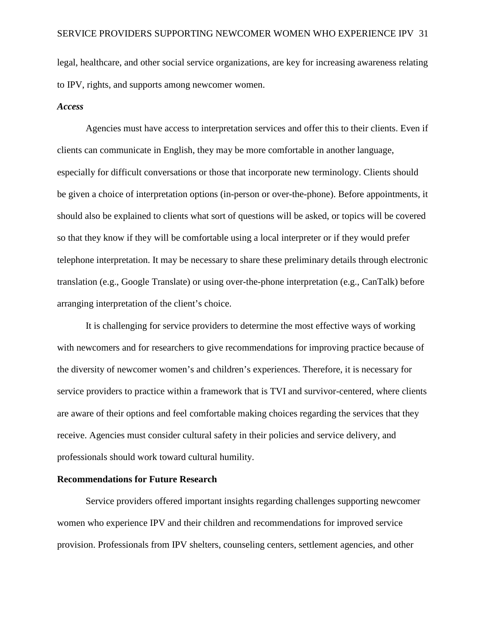legal, healthcare, and other social service organizations, are key for increasing awareness relating to IPV, rights, and supports among newcomer women.

#### *Access*

Agencies must have access to interpretation services and offer this to their clients. Even if clients can communicate in English, they may be more comfortable in another language, especially for difficult conversations or those that incorporate new terminology. Clients should be given a choice of interpretation options (in-person or over-the-phone). Before appointments, it should also be explained to clients what sort of questions will be asked, or topics will be covered so that they know if they will be comfortable using a local interpreter or if they would prefer telephone interpretation. It may be necessary to share these preliminary details through electronic translation (e.g., Google Translate) or using over-the-phone interpretation (e.g., CanTalk) before arranging interpretation of the client's choice.

It is challenging for service providers to determine the most effective ways of working with newcomers and for researchers to give recommendations for improving practice because of the diversity of newcomer women's and children's experiences. Therefore, it is necessary for service providers to practice within a framework that is TVI and survivor-centered, where clients are aware of their options and feel comfortable making choices regarding the services that they receive. Agencies must consider cultural safety in their policies and service delivery, and professionals should work toward cultural humility.

#### **Recommendations for Future Research**

Service providers offered important insights regarding challenges supporting newcomer women who experience IPV and their children and recommendations for improved service provision. Professionals from IPV shelters, counseling centers, settlement agencies, and other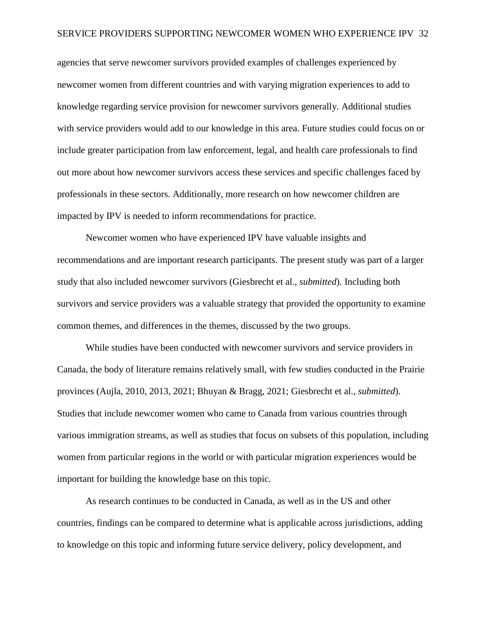agencies that serve newcomer survivors provided examples of challenges experienced by newcomer women from different countries and with varying migration experiences to add to knowledge regarding service provision for newcomer survivors generally. Additional studies with service providers would add to our knowledge in this area. Future studies could focus on or include greater participation from law enforcement, legal, and health care professionals to find out more about how newcomer survivors access these services and specific challenges faced by professionals in these sectors. Additionally, more research on how newcomer children are impacted by IPV is needed to inform recommendations for practice.

Newcomer women who have experienced IPV have valuable insights and recommendations and are important research participants. The present study was part of a larger study that also included newcomer survivors (Giesbrecht et al., *submitted*). Including both survivors and service providers was a valuable strategy that provided the opportunity to examine common themes, and differences in the themes, discussed by the two groups.

While studies have been conducted with newcomer survivors and service providers in Canada, the body of literature remains relatively small, with few studies conducted in the Prairie provinces (Aujla, 2010, 2013, 2021; Bhuyan & Bragg, 2021; Giesbrecht et al., *submitted*). Studies that include newcomer women who came to Canada from various countries through various immigration streams, as well as studies that focus on subsets of this population, including women from particular regions in the world or with particular migration experiences would be important for building the knowledge base on this topic.

As research continues to be conducted in Canada, as well as in the US and other countries, findings can be compared to determine what is applicable across jurisdictions, adding to knowledge on this topic and informing future service delivery, policy development, and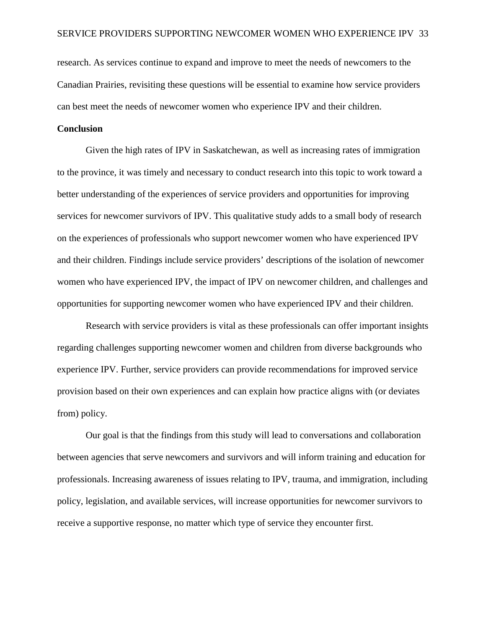research. As services continue to expand and improve to meet the needs of newcomers to the Canadian Prairies, revisiting these questions will be essential to examine how service providers can best meet the needs of newcomer women who experience IPV and their children.

## **Conclusion**

Given the high rates of IPV in Saskatchewan, as well as increasing rates of immigration to the province, it was timely and necessary to conduct research into this topic to work toward a better understanding of the experiences of service providers and opportunities for improving services for newcomer survivors of IPV. This qualitative study adds to a small body of research on the experiences of professionals who support newcomer women who have experienced IPV and their children. Findings include service providers' descriptions of the isolation of newcomer women who have experienced IPV, the impact of IPV on newcomer children, and challenges and opportunities for supporting newcomer women who have experienced IPV and their children.

Research with service providers is vital as these professionals can offer important insights regarding challenges supporting newcomer women and children from diverse backgrounds who experience IPV. Further, service providers can provide recommendations for improved service provision based on their own experiences and can explain how practice aligns with (or deviates from) policy.

Our goal is that the findings from this study will lead to conversations and collaboration between agencies that serve newcomers and survivors and will inform training and education for professionals. Increasing awareness of issues relating to IPV, trauma, and immigration, including policy, legislation, and available services, will increase opportunities for newcomer survivors to receive a supportive response, no matter which type of service they encounter first.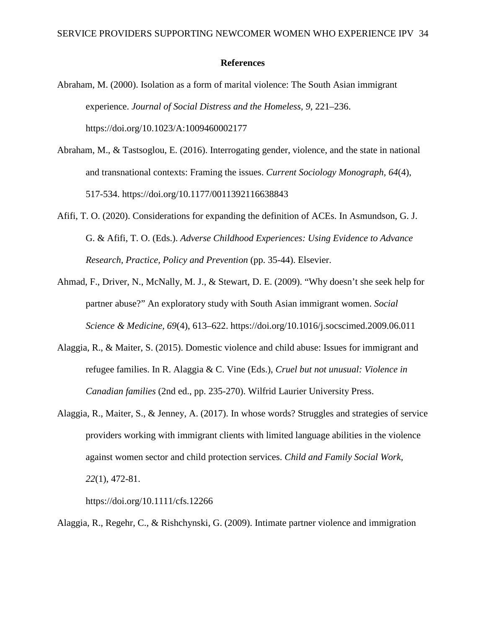#### **References**

- Abraham, M. (2000). Isolation as a form of marital violence: The South Asian immigrant experience. *Journal of Social Distress and the Homeless, 9*, 221–236. https://doi.org/10.1023/A:1009460002177
- Abraham, M., & Tastsoglou, E. (2016). Interrogating gender, violence, and the state in national and transnational contexts: Framing the issues. *Current Sociology Monograph, 64*(4), 517-534.<https://doi.org/10.1177/0011392116638843>
- Afifi, T. O. (2020). Considerations for expanding the definition of ACEs. In Asmundson, G. J. G. & Afifi, T. O. (Eds.). *Adverse Childhood Experiences: Using Evidence to Advance Research, Practice, Policy and Prevention* (pp. 35-44). Elsevier.
- Ahmad, F., Driver, N., McNally, M. J., & Stewart, D. E. (2009). "Why doesn't she seek help for partner abuse?" An exploratory study with South Asian immigrant women. *Social Science & Medicine, 69*(4), 613–622. https://doi.org/10.1016/j.socscimed.2009.06.011
- Alaggia, R., & Maiter, S. (2015). Domestic violence and child abuse: Issues for immigrant and refugee families. In R. Alaggia & C. Vine (Eds.), *Cruel but not unusual: Violence in Canadian families* (2nd ed., pp. 235-270). Wilfrid Laurier University Press.
- Alaggia, R., Maiter, S., & Jenney, A. (2017). In whose words? Struggles and strategies of service providers working with immigrant clients with limited language abilities in the violence against women sector and child protection services. *Child and Family Social Work, 22*(1), 472-81.

https://doi.org/10.1111/cfs.12266

Alaggia, R., Regehr, C., & Rishchynski, G. (2009). Intimate partner violence and immigration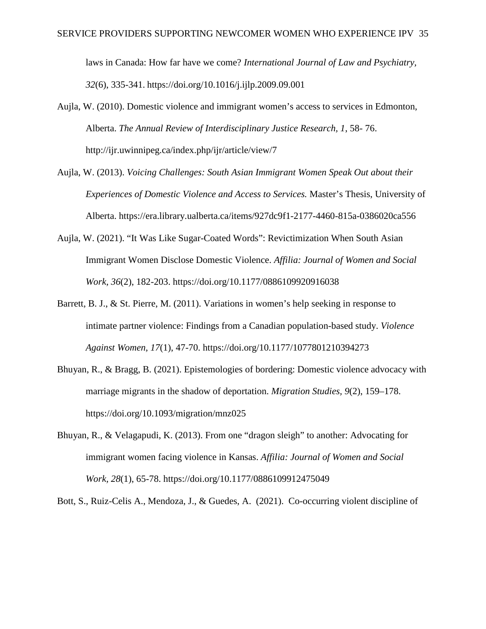laws in Canada: How far have we come? *International Journal of Law and Psychiatry, 32*(6), 335-341. https://doi.org/10.1016/j.ijlp.2009.09.001

- Aujla, W. (2010). Domestic violence and immigrant women's access to services in Edmonton, Alberta. *The Annual Review of Interdisciplinary Justice Research, 1*, 58- 76. http://ijr.uwinnipeg.ca/index.php/ijr/article/view/7
- Aujla, W. (2013). *Voicing Challenges: South Asian Immigrant Women Speak Out about their Experiences of Domestic Violence and Access to Services.* Master's Thesis, University of Alberta. https://era.library.ualberta.ca/items/927dc9f1-2177-4460-815a-0386020ca556
- Aujla, W. (2021). "It Was Like Sugar-Coated Words": Revictimization When South Asian Immigrant Women Disclose Domestic Violence. *Affilia: Journal of Women and Social Work, 36*(2), 182-203.<https://doi.org/10.1177/0886109920916038>
- Barrett, B. J., & St. Pierre, M. (2011). Variations in women's help seeking in response to intimate partner violence: Findings from a Canadian population-based study. *Violence Against Women, 17*(1), 47-70.<https://doi.org/10.1177/1077801210394273>
- Bhuyan, R., & Bragg, B. (2021). Epistemologies of bordering: Domestic violence advocacy with marriage migrants in the shadow of deportation. *Migration Studies, 9*(2), 159–178. https://doi.org/10.1093/migration/mnz025
- Bhuyan, R., & Velagapudi, K. (2013). From one "dragon sleigh" to another: Advocating for immigrant women facing violence in Kansas. *Affilia: Journal of Women and Social Work, 28*(1), 65-78. https://doi.org/10.1177/0886109912475049

Bott, S., Ruiz-Celis A., Mendoza, J., & Guedes, A. (2021). Co-occurring violent discipline of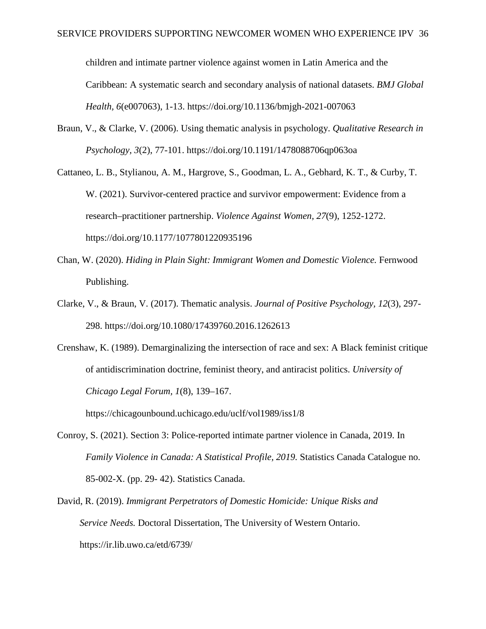children and intimate partner violence against women in Latin America and the Caribbean: A systematic search and secondary analysis of national datasets. *BMJ Global Health, 6*(e007063), 1-13. https://doi.org/10.1136/bmjgh-2021-007063

- Braun, V., & Clarke, V. (2006). Using thematic analysis in psychology. *Qualitative Research in Psychology, 3*(2), 77-101. https://doi.org/10.1191/1478088706qp063oa
- Cattaneo, L. B., Stylianou, A. M., Hargrove, S., Goodman, L. A., Gebhard, K. T., & Curby, T. W. (2021). Survivor-centered practice and survivor empowerment: Evidence from a research–practitioner partnership. *Violence Against Women, 27*(9), 1252-1272. <https://doi.org/10.1177/1077801220935196>
- Chan, W. (2020). *Hiding in Plain Sight: Immigrant Women and Domestic Violence.* Fernwood Publishing.
- Clarke, V., & Braun, V. (2017). Thematic analysis. *Journal of Positive Psychology, 12*(3), 297- 298. https://doi.org/10.1080/17439760.2016.1262613
- Crenshaw, K. (1989). Demarginalizing the intersection of race and sex: A Black feminist critique of antidiscrimination doctrine, feminist theory, and antiracist politics. *University of Chicago Legal Forum, 1*(8), 139–167.

https://chicagounbound.uchicago.edu/uclf/vol1989/iss1/8

- Conroy, S. (2021). Section 3: Police-reported intimate partner violence in Canada, 2019. In *Family Violence in Canada: A Statistical Profile, 2019. Statistics Canada Catalogue no.* 85-002-X. (pp. 29- 42). Statistics Canada.
- David, R. (2019). *Immigrant Perpetrators of Domestic Homicide: Unique Risks and Service Needs.* Doctoral Dissertation, The University of Western Ontario. https://ir.lib.uwo.ca/etd/6739/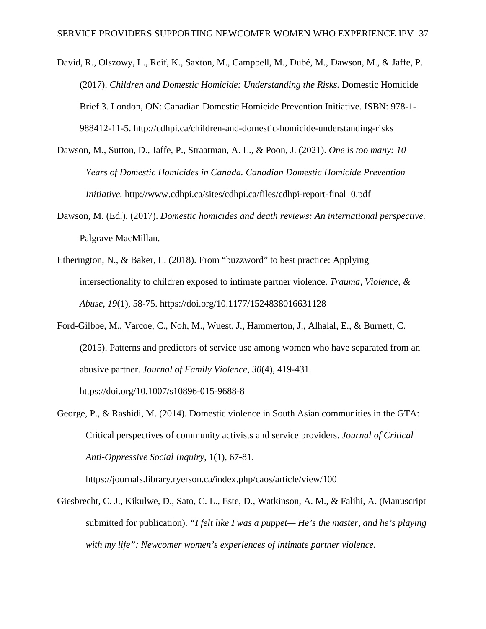- David, R., Olszowy, L., Reif, K., Saxton, M., Campbell, M., Dubé, M., Dawson, M., & Jaffe, P. (2017). *Children and Domestic Homicide: Understanding the Risks.* Domestic Homicide Brief 3. London, ON: Canadian Domestic Homicide Prevention Initiative. ISBN: 978-1- 988412-11-5. http://cdhpi.ca/children-and-domestic-homicide-understanding-risks
- Dawson, M., Sutton, D., Jaffe, P., Straatman, A. L., & Poon, J. (2021). *One is too many: 10 Years of Domestic Homicides in Canada. Canadian Domestic Homicide Prevention Initiative.* http://www.cdhpi.ca/sites/cdhpi.ca/files/cdhpi-report-final 0.pdf
- Dawson, M. (Ed.). (2017). *Domestic homicides and death reviews: An international perspective.*  Palgrave MacMillan.
- Etherington, N., & Baker, L. (2018). From "buzzword" to best practice: Applying intersectionality to children exposed to intimate partner violence. *Trauma, Violence, & Abuse, 19*(1), 58-75. https://doi.org/10.1177/1524838016631128
- Ford-Gilboe, M., Varcoe, C., Noh, M., Wuest, J., Hammerton, J., Alhalal, E., & Burnett, C. (2015). Patterns and predictors of service use among women who have separated from an abusive partner. *Journal of Family Violence*, *30*(4), 419-431. <https://doi.org/10.1007/s10896-015-9688-8>
- George, P., & Rashidi, M. (2014). Domestic violence in South Asian communities in the GTA: Critical perspectives of community activists and service providers. *Journal of Critical Anti-Oppressive Social Inquiry*, 1(1), 67-81.

https://journals.library.ryerson.ca/index.php/caos/article/view/100

Giesbrecht, C. J., Kikulwe, D., Sato, C. L., Este, D., Watkinson, A. M., & Falihi, A. (Manuscript submitted for publication). *"I felt like I was a puppet— He's the master, and he's playing with my life": Newcomer women's experiences of intimate partner violence.*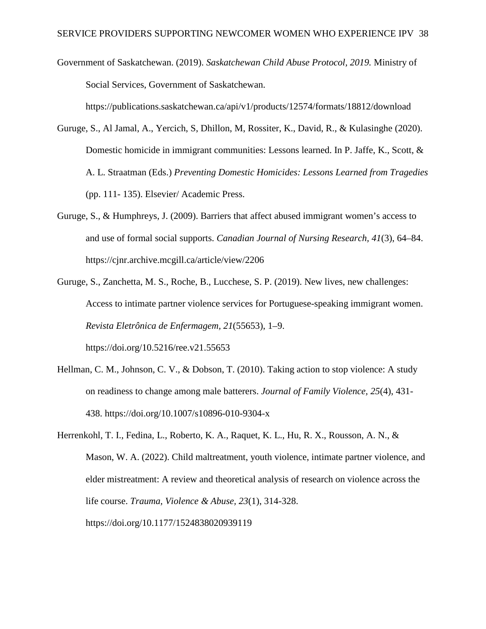Government of Saskatchewan. (2019). *Saskatchewan Child Abuse Protocol, 2019.* Ministry of Social Services, Government of Saskatchewan.

<https://publications.saskatchewan.ca/api/v1/products/12574/formats/18812/download>

- Guruge, S., Al Jamal, A., Yercich, S, Dhillon, M, Rossiter, K., David, R., & Kulasinghe (2020). Domestic homicide in immigrant communities: Lessons learned. In P. Jaffe, K., Scott, & A. L. Straatman (Eds.) *Preventing Domestic Homicides: Lessons Learned from Tragedies*  (pp. 111- 135). Elsevier/ Academic Press.
- Guruge, S., & Humphreys, J. (2009). Barriers that affect abused immigrant women's access to and use of formal social supports. *Canadian Journal of Nursing Research, 41*(3), 64–84. https://cjnr.archive.mcgill.ca/article/view/2206
- Guruge, S., Zanchetta, M. S., Roche, B., Lucchese, S. P. (2019). New lives, new challenges: Access to intimate partner violence services for Portuguese-speaking immigrant women. *Revista Eletrônica de Enfermagem, 21*(55653), 1–9. <https://doi.org/10.5216/ree.v21.55653>
- Hellman, C. M., Johnson, C. V., & Dobson, T. (2010). Taking action to stop violence: A study on readiness to change among male batterers. *Journal of Family Violence, 25*(4), 431- 438. https://doi.org/10.1007/s10896-010-9304-x
- Herrenkohl, T. I., Fedina, L., Roberto, K. A., Raquet, K. L., Hu, R. X., Rousson, A. N., & Mason, W. A. (2022). Child maltreatment, youth violence, intimate partner violence, and elder mistreatment: A review and theoretical analysis of research on violence across the life course. *Trauma, Violence & Abuse, 23*(1), 314-328. https://doi.org/10.1177/1524838020939119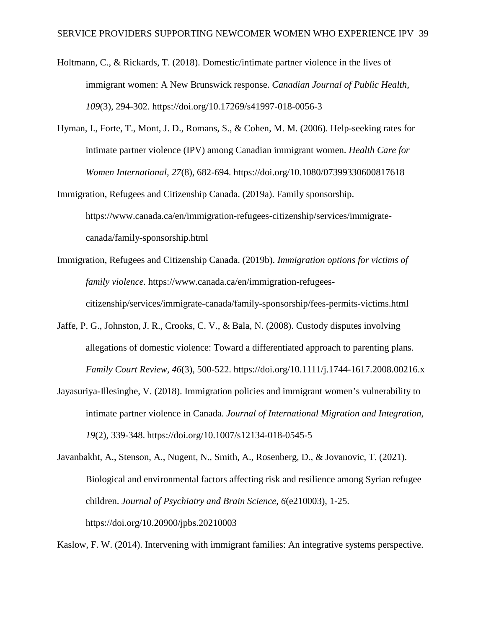- Holtmann, C., & Rickards, T. (2018). Domestic/intimate partner violence in the lives of immigrant women: A New Brunswick response. *Canadian Journal of Public Health, 109*(3), 294-302. https://doi.org/10.17269/s41997-018-0056-3
- Hyman, I., Forte, T., Mont, J. D., Romans, S., & Cohen, M. M. (2006). Help-seeking rates for intimate partner violence (IPV) among Canadian immigrant women. *Health Care for Women International, 27*(8), 682-694. https://doi.org/10.1080/07399330600817618
- Immigration, Refugees and Citizenship Canada. (2019a). Family sponsorship. [https://www.canada.ca/en/immigration-refugees-citizenship/services/immigrate](https://www.canada.ca/en/immigration-refugees-citizenship/services/immigrate-canada/family-sponsorship.html)[canada/family-sponsorship.html](https://www.canada.ca/en/immigration-refugees-citizenship/services/immigrate-canada/family-sponsorship.html)
- Immigration, Refugees and Citizenship Canada. (2019b). *Immigration options for victims of family violence.* [https://www.canada.ca/en/immigration-refugees-](https://www.canada.ca/en/immigration-refugees-citizenship/services/immigrate-canada/family-sponsorship/fees-permits-victims.html)

[citizenship/services/immigrate-canada/family-sponsorship/fees-permits-victims.html](https://www.canada.ca/en/immigration-refugees-citizenship/services/immigrate-canada/family-sponsorship/fees-permits-victims.html)

- Jaffe, P. G., Johnston, J. R., Crooks, C. V., & Bala, N. (2008). Custody disputes involving allegations of domestic violence: Toward a differentiated approach to parenting plans. *Family Court Review, 46*(3), 500-522.<https://doi.org/10.1111/j.1744-1617.2008.00216.x>
- Jayasuriya-Illesinghe, V. (2018). Immigration policies and immigrant women's vulnerability to intimate partner violence in Canada. *Journal of International Migration and Integration, 19*(2), 339-348. https://doi.org/10.1007/s12134-018-0545-5

Javanbakht, A., Stenson, A., Nugent, N., Smith, A., Rosenberg, D., & Jovanovic, T. (2021). Biological and environmental factors affecting risk and resilience among Syrian refugee children. *Journal of Psychiatry and Brain Science, 6*(e210003), 1-25. https://doi.org/10.20900/jpbs.20210003

Kaslow, F. W. (2014). Intervening with immigrant families: An integrative systems perspective.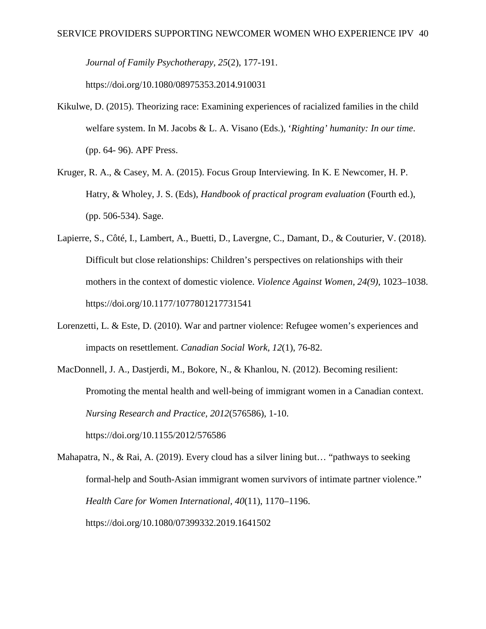*Journal of Family Psychotherapy, 25*(2), 177-191.

<https://doi.org/10.1080/08975353.2014.910031>

- Kikulwe, D. (2015). Theorizing race: Examining experiences of racialized families in the child welfare system. In M. Jacobs & L. A. Visano (Eds.), '*Righting' humanity: In our time*. (pp. 64- 96). APF Press.
- Kruger, R. A., & Casey, M. A. (2015). Focus Group Interviewing. In K. E Newcomer, H. P. Hatry, & Wholey, J. S. (Eds), *Handbook of practical program evaluation* (Fourth ed.), (pp. 506-534). Sage.
- Lapierre, S., Côté, I., Lambert, A., Buetti, D., Lavergne, C., Damant, D., & Couturier, V. (2018). Difficult but close relationships: Children's perspectives on relationships with their mothers in the context of domestic violence. *Violence Against Women, 24(9)*, 1023–1038. https://doi.org/10.1177/1077801217731541
- Lorenzetti, L. & Este, D. (2010). War and partner violence: Refugee women's experiences and impacts on resettlement. *Canadian Social Work, 12*(1), 76-82.
- MacDonnell, J. A., Dastjerdi, M., Bokore, N., & Khanlou, N. (2012). Becoming resilient: Promoting the mental health and well-being of immigrant women in a Canadian context. *Nursing Research and Practice, 2012*(576586), 1-10. https://doi.org/10.1155/2012/576586

Mahapatra, N., & Rai, A. (2019). Every cloud has a silver lining but… "pathways to seeking formal-help and South-Asian immigrant women survivors of intimate partner violence." *Health Care for Women International, 40*(11), 1170–1196. https://doi.org/10.1080/07399332.2019.1641502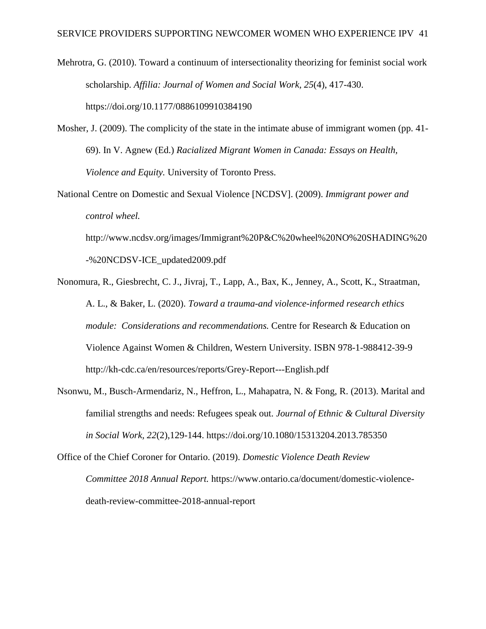Mehrotra, G. (2010). Toward a continuum of intersectionality theorizing for feminist social work scholarship. *Affilia: Journal of Women and Social Work, 25*(4), 417-430. https://doi.org/10.1177/0886109910384190

- Mosher, J. (2009). The complicity of the state in the intimate abuse of immigrant women (pp. 41- 69). In V. Agnew (Ed.) *Racialized Migrant Women in Canada: Essays on Health, Violence and Equity.* University of Toronto Press.
- National Centre on Domestic and Sexual Violence [NCDSV]. (2009). *Immigrant power and control wheel.*

[http://www.ncdsv.org/images/Immigrant%20P&C%20wheel%20NO%20SHADING%20](http://www.ncdsv.org/images/Immigrant%20P&C%20wheel%20NO%20SHADING%20-%20NCDSV-ICE_updated2009.pdf) [-%20NCDSV-ICE\\_updated2009.pdf](http://www.ncdsv.org/images/Immigrant%20P&C%20wheel%20NO%20SHADING%20-%20NCDSV-ICE_updated2009.pdf)

- Nonomura, R., Giesbrecht, C. J., Jivraj, T., Lapp, A., Bax, K., Jenney, A., Scott, K., Straatman, A. L., & Baker, L. (2020). *Toward a trauma-and violence-informed research ethics module: Considerations and recommendations.* Centre for Research & Education on Violence Against Women & Children, Western University. ISBN 978-1-988412-39-9 http://kh-cdc.ca/en/resources/reports/Grey-Report---English.pdf
- Nsonwu, M., Busch-Armendariz, N., Heffron, L., Mahapatra, N. & Fong, R. (2013). Marital and familial strengths and needs: Refugees speak out. *Journal of Ethnic & Cultural Diversity in Social Work, 22*(2),129-144. https://doi.org/10.1080/15313204.2013.785350

Office of the Chief Coroner for Ontario. (2019). *Domestic Violence Death Review Committee 2018 Annual Report.* https://www.ontario.ca/document/domestic-violencedeath-review-committee-2018-annual-report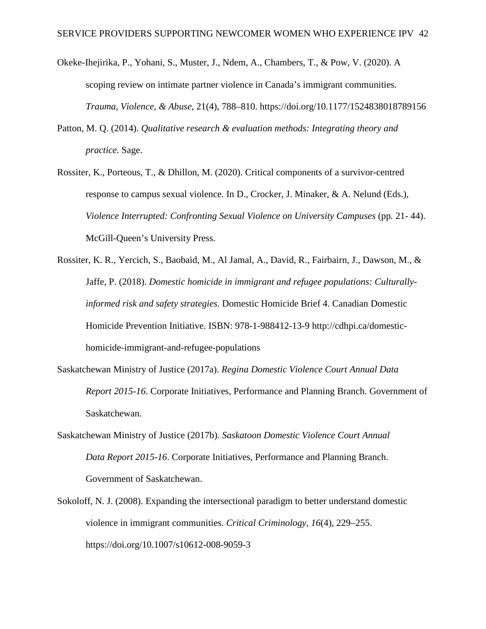- Okeke-Ihejirika, P., Yohani, S., Muster, J., Ndem, A., Chambers, T., & Pow, V. (2020). A scoping review on intimate partner violence in Canada's immigrant communities. *Trauma, Violence, & Abuse*, 21(4), 788–810. [https://doi.org/10.1177/1524838018789156](https://doi.org/10.1177%2F1524838018789156)
- Patton, M. Q. (2014). *Qualitative research & evaluation methods: Integrating theory and practice.* Sage.
- Rossiter, K., Porteous, T., & Dhillon, M. (2020). Critical components of a survivor-centred response to campus sexual violence. In D., Crocker, J. Minaker, & A. Nelund (Eds.), *Violence Interrupted: Confronting Sexual Violence on University Campuses* (pp*.* 21- 44). McGill-Queen's University Press.
- Rossiter, K. R., Yercich, S., Baobaid, M., Al Jamal, A., David, R., Fairbairn, J., Dawson, M., & Jaffe, P. (2018). *Domestic homicide in immigrant and refugee populations: Culturallyinformed risk and safety strategies*. Domestic Homicide Brief 4. Canadian Domestic Homicide Prevention Initiative. ISBN: 978-1-988412-13-9 [http://cdhpi.ca/domestic](http://cdhpi.ca/domestic-homicide-immigrant-and-refugee-populations)[homicide-immigrant-and-refugee-populations](http://cdhpi.ca/domestic-homicide-immigrant-and-refugee-populations)
- Saskatchewan Ministry of Justice (2017a). *Regina Domestic Violence Court Annual Data Report 2015-16*. Corporate Initiatives, Performance and Planning Branch. Government of Saskatchewan.
- Saskatchewan Ministry of Justice (2017b). *Saskatoon Domestic Violence Court Annual Data Report 2015-16*. Corporate Initiatives, Performance and Planning Branch. Government of Saskatchewan.
- Sokoloff, N. J. (2008). Expanding the intersectional paradigm to better understand domestic violence in immigrant communities. *Critical Criminology, 16*(4), 229–255. https://doi.org/10.1007/s10612-008-9059-3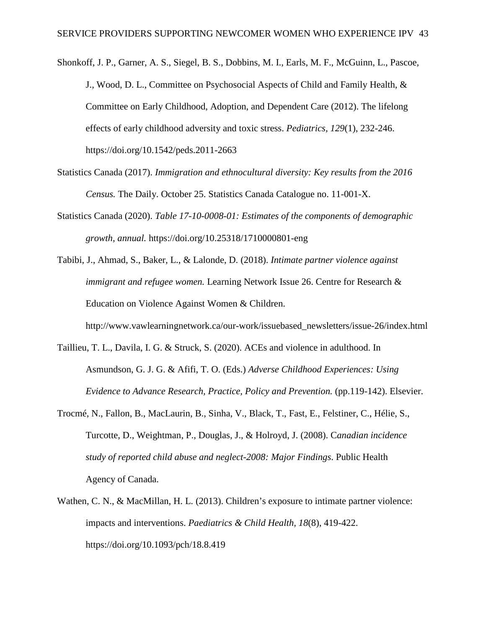Shonkoff, J. P., Garner, A. S., Siegel, B. S., Dobbins, M. I., Earls, M. F., McGuinn, L., Pascoe, J., Wood, D. L., Committee on Psychosocial Aspects of Child and Family Health, & Committee on Early Childhood, Adoption, and Dependent Care (2012). The lifelong effects of early childhood adversity and toxic stress. *Pediatrics, 129*(1), 232-246. https://doi.org/10.1542/peds.2011-2663

- Statistics Canada (2017). *Immigration and ethnocultural diversity: Key results from the 2016 Census.* The Daily. October 25. Statistics Canada Catalogue no. 11-001-X.
- Statistics Canada (2020). *Table 17-10-0008-01: Estimates of the components of demographic growth, annual.* https://doi.org/10.25318/1710000801-eng
- Tabibi, J., Ahmad, S., Baker, L., & Lalonde, D. (2018). *Intimate partner violence against immigrant and refugee women.* Learning Network Issue 26. Centre for Research & Education on Violence Against Women & Children.

[http://www.vawlearningnetwork.ca/our-work/issuebased\\_newsletters/issue-26/index.html](http://www.vawlearningnetwork.ca/our-work/issuebased_newsletters/issue-26/index.html) 

- Taillieu, T. L., Davila, I. G. & Struck, S. (2020). ACEs and violence in adulthood. In Asmundson, G. J. G. & Afifi, T. O. (Eds.) *Adverse Childhood Experiences: Using Evidence to Advance Research, Practice, Policy and Prevention.* (pp.119-142). Elsevier.
- Trocmé, N., Fallon, B., MacLaurin, B., Sinha, V., Black, T., Fast, E., Felstiner, C., Hélie, S., Turcotte, D., Weightman, P., Douglas, J., & Holroyd, J. (2008). C*anadian incidence study of reported child abuse and neglect-2008: Major Findings*. Public Health Agency of Canada.
- Wathen, C. N., & MacMillan, H. L. (2013). Children's exposure to intimate partner violence: impacts and interventions. *Paediatrics & Child Health, 18*(8), 419-422. <https://doi.org/10.1093/pch/18.8.419>